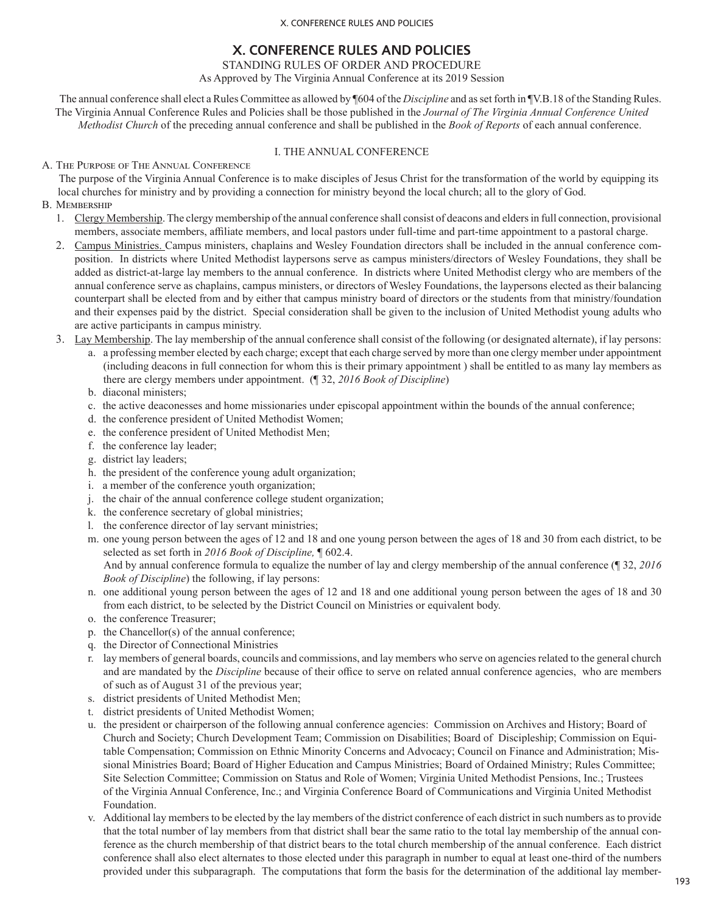# **X. CONFERENCE RULES AND POLICIES**

STANDING RULES OF ORDER AND PROCEDURE

As Approved by The Virginia Annual Conference at its 2019 Session

The annual conference shall elect a Rules Committee as allowed by ¶604 of the *Discipline* and as set forth in ¶V.B.18 of the Standing Rules. The Virginia Annual Conference Rules and Policies shall be those published in the *Journal of The Virginia Annual Conference United Methodist Church* of the preceding annual conference and shall be published in the *Book of Reports* of each annual conference.

## I. THE ANNUAL CONFERENCE

A. THE PURPOSE OF THE ANNUAL CONFERENCE

The purpose of the Virginia Annual Conference is to make disciples of Jesus Christ for the transformation of the world by equipping its local churches for ministry and by providing a connection for ministry beyond the local church; all to the glory of God.

- B. MEMBERSHIP
	- 1. Clergy Membership. The clergy membership of the annual conference shall consist of deacons and elders in full connection, provisional members, associate members, affiliate members, and local pastors under full-time and part-time appointment to a pastoral charge.
	- 2. Campus Ministries. Campus ministers, chaplains and Wesley Foundation directors shall be included in the annual conference composition. In districts where United Methodist laypersons serve as campus ministers/directors of Wesley Foundations, they shall be added as district-at-large lay members to the annual conference. In districts where United Methodist clergy who are members of the annual conference serve as chaplains, campus ministers, or directors of Wesley Foundations, the laypersons elected as their balancing counterpart shall be elected from and by either that campus ministry board of directors or the students from that ministry/foundation and their expenses paid by the district. Special consideration shall be given to the inclusion of United Methodist young adults who are active participants in campus ministry.
	- 3. Lay Membership. The lay membership of the annual conference shall consist of the following (or designated alternate), if lay persons:
		- a. a professing member elected by each charge; except that each charge served by more than one clergy member under appointment (including deacons in full connection for whom this is their primary appointment ) shall be entitled to as many lay members as there are clergy members under appointment. (¶ 32, *2016 Book of Discipline*)
		- b. diaconal ministers;
		- c. the active deaconesses and home missionaries under episcopal appointment within the bounds of the annual conference;
		- d. the conference president of United Methodist Women;
		- e. the conference president of United Methodist Men;
		- f. the conference lay leader;
		- g. district lay leaders;
		- h. the president of the conference young adult organization;
		- i. a member of the conference youth organization;
		- j. the chair of the annual conference college student organization;
		- k. the conference secretary of global ministries;
		- l. the conference director of lay servant ministries;
		- m. one young person between the ages of 12 and 18 and one young person between the ages of 18 and 30 from each district, to be selected as set forth in *2016 Book of Discipline,* ¶ 602.4.

 And by annual conference formula to equalize the number of lay and clergy membership of the annual conference (¶ 32, *2016 Book of Discipline*) the following, if lay persons:

- n. one additional young person between the ages of 12 and 18 and one additional young person between the ages of 18 and 30 from each district, to be selected by the District Council on Ministries or equivalent body.
- o. the conference Treasurer;
- p. the Chancellor(s) of the annual conference;
- q. the Director of Connectional Ministries
- r. lay members of general boards, councils and commissions, and lay members who serve on agencies related to the general church and are mandated by the *Discipline* because of their office to serve on related annual conference agencies, who are members of such as of August 31 of the previous year;
- s. district presidents of United Methodist Men;
- t. district presidents of United Methodist Women;
- u. the president or chairperson of the following annual conference agencies: Commission on Archives and History; Board of Church and Society; Church Development Team; Commission on Disabilities; Board of Discipleship; Commission on Equitable Compensation; Commission on Ethnic Minority Concerns and Advocacy; Council on Finance and Administration; Missional Ministries Board; Board of Higher Education and Campus Ministries; Board of Ordained Ministry; Rules Committee; Site Selection Committee; Commission on Status and Role of Women; Virginia United Methodist Pensions, Inc.; Trustees of the Virginia Annual Conference, Inc.; and Virginia Conference Board of Communications and Virginia United Methodist Foundation.
- v. Additional lay members to be elected by the lay members of the district conference of each district in such numbers as to provide that the total number of lay members from that district shall bear the same ratio to the total lay membership of the annual conference as the church membership of that district bears to the total church membership of the annual conference. Each district conference shall also elect alternates to those elected under this paragraph in number to equal at least one-third of the numbers provided under this subparagraph. The computations that form the basis for the determination of the additional lay member-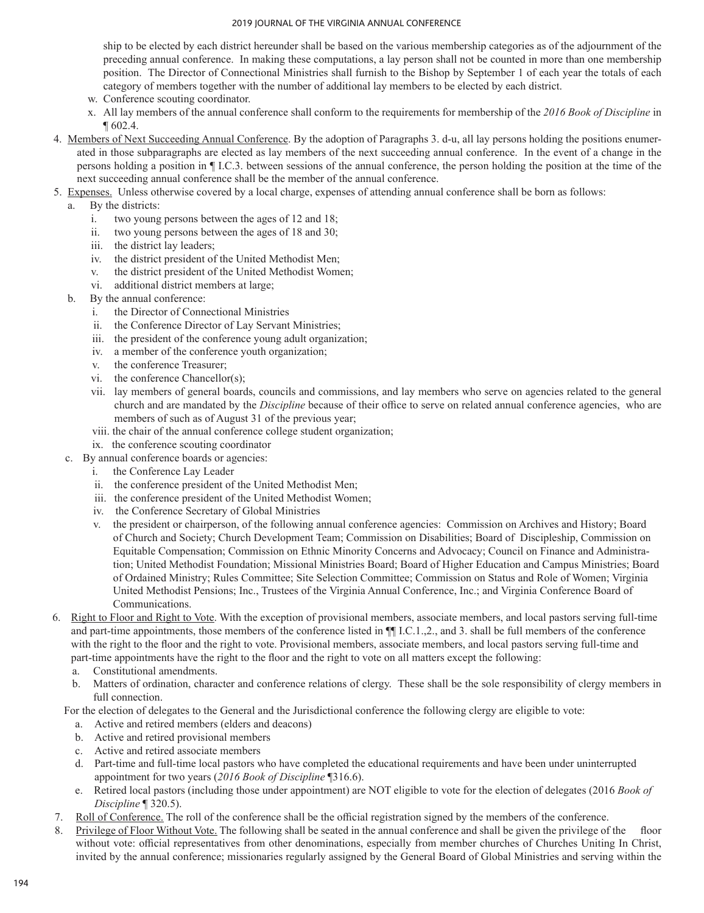ship to be elected by each district hereunder shall be based on the various membership categories as of the adjournment of the preceding annual conference. In making these computations, a lay person shall not be counted in more than one membership position. The Director of Connectional Ministries shall furnish to the Bishop by September 1 of each year the totals of each category of members together with the number of additional lay members to be elected by each district.

- w. Conference scouting coordinator.
- x. All lay members of the annual conference shall conform to the requirements for membership of the *2016 Book of Discipline* in ¶ 602.4.
- 4. Members of Next Succeeding Annual Conference. By the adoption of Paragraphs 3. d-u, all lay persons holding the positions enumerated in those subparagraphs are elected as lay members of the next succeeding annual conference. In the event of a change in the persons holding a position in ¶ I.C.3. between sessions of the annual conference, the person holding the position at the time of the next succeeding annual conference shall be the member of the annual conference.
- 5. Expenses. Unless otherwise covered by a local charge, expenses of attending annual conference shall be born as follows:

## a. By the districts:

- i. two young persons between the ages of 12 and 18;
- ii. two young persons between the ages of 18 and 30;
- iii. the district lay leaders;
- iv. the district president of the United Methodist Men;
- v. the district president of the United Methodist Women;
- vi. additional district members at large;
- b. By the annual conference:
	- i. the Director of Connectional Ministries
	- ii. the Conference Director of Lay Servant Ministries;
	- iii. the president of the conference young adult organization;
	- iv. a member of the conference youth organization;
	- v. the conference Treasurer;
	- vi. the conference Chancellor(s);
	- vii. lay members of general boards, councils and commissions, and lay members who serve on agencies related to the general church and are mandated by the *Discipline* because of their office to serve on related annual conference agencies, who are members of such as of August 31 of the previous year;
	- viii. the chair of the annual conference college student organization;
	- ix. the conference scouting coordinator
- c. By annual conference boards or agencies:
	- i. the Conference Lay Leader
	- ii. the conference president of the United Methodist Men;
	- iii. the conference president of the United Methodist Women;
	- iv. the Conference Secretary of Global Ministries
	- v. the president or chairperson, of the following annual conference agencies: Commission on Archives and History; Board of Church and Society; Church Development Team; Commission on Disabilities; Board of Discipleship, Commission on Equitable Compensation; Commission on Ethnic Minority Concerns and Advocacy; Council on Finance and Administration; United Methodist Foundation; Missional Ministries Board; Board of Higher Education and Campus Ministries; Board of Ordained Ministry; Rules Committee; Site Selection Committee; Commission on Status and Role of Women; Virginia United Methodist Pensions; Inc., Trustees of the Virginia Annual Conference, Inc.; and Virginia Conference Board of Communications.
- 6. Right to Floor and Right to Vote. With the exception of provisional members, associate members, and local pastors serving full-time and part-time appointments, those members of the conference listed in ¶¶ I.C.1.,2., and 3. shall be full members of the conference with the right to the floor and the right to vote. Provisional members, associate members, and local pastors serving full-time and part-time appointments have the right to the floor and the right to vote on all matters except the following:
	- a. Constitutional amendments.
	- b. Matters of ordination, character and conference relations of clergy. These shall be the sole responsibility of clergy members in full connection.

For the election of delegates to the General and the Jurisdictional conference the following clergy are eligible to vote:

- a. Active and retired members (elders and deacons)
- b. Active and retired provisional members
- c. Active and retired associate members
- d. Part-time and full-time local pastors who have completed the educational requirements and have been under uninterrupted appointment for two years (*2016 Book of Discipline* ¶316.6).
- e. Retired local pastors (including those under appointment) are NOT eligible to vote for the election of delegates (2016 *Book of Discipline* ¶ 320.5).
- 7. Roll of Conference. The roll of the conference shall be the official registration signed by the members of the conference.
- 8. Privilege of Floor Without Vote. The following shall be seated in the annual conference and shall be given the privilege of the floor without vote: official representatives from other denominations, especially from member churches of Churches Uniting In Christ, invited by the annual conference; missionaries regularly assigned by the General Board of Global Ministries and serving within the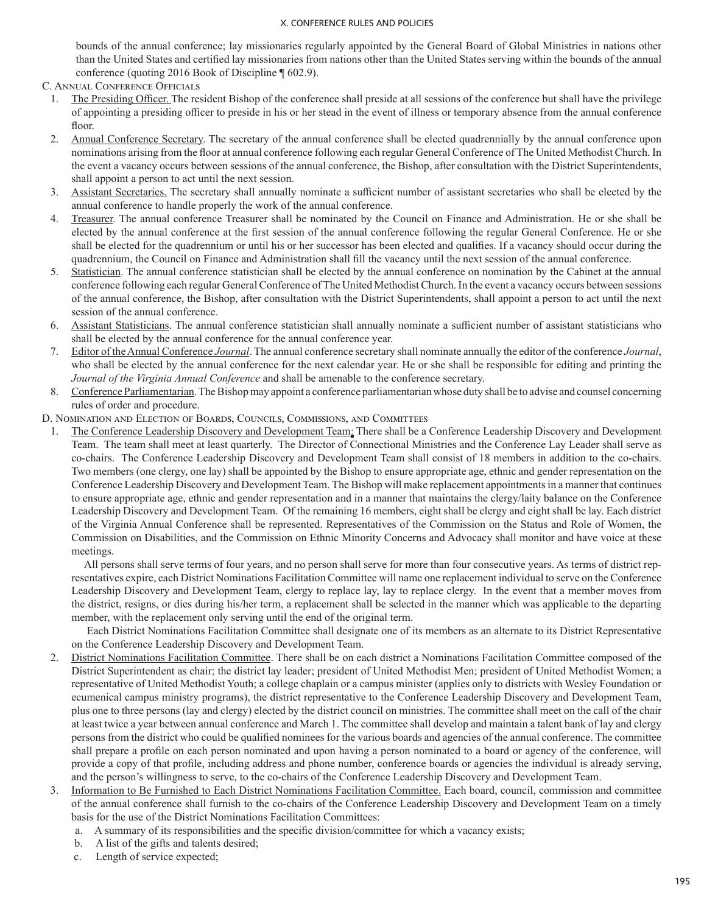bounds of the annual conference; lay missionaries regularly appointed by the General Board of Global Ministries in nations other than the United States and certified lay missionaries from nations other than the United States serving within the bounds of the annual conference (quoting 2016 Book of Discipline ¶ 602.9).

C. Annual Conference Officials

- 1. The Presiding Officer. The resident Bishop of the conference shall preside at all sessions of the conference but shall have the privilege of appointing a presiding officer to preside in his or her stead in the event of illness or temporary absence from the annual conference floor.
- 2. Annual Conference Secretary. The secretary of the annual conference shall be elected quadrennially by the annual conference upon nominations arising from the floor at annual conference following each regular General Conference of The United Methodist Church. In the event a vacancy occurs between sessions of the annual conference, the Bishop, after consultation with the District Superintendents, shall appoint a person to act until the next session.
- 3. Assistant Secretaries. The secretary shall annually nominate a sufficient number of assistant secretaries who shall be elected by the annual conference to handle properly the work of the annual conference.
- 4. Treasurer. The annual conference Treasurer shall be nominated by the Council on Finance and Administration. He or she shall be elected by the annual conference at the first session of the annual conference following the regular General Conference. He or she shall be elected for the quadrennium or until his or her successor has been elected and qualifies. If a vacancy should occur during the quadrennium, the Council on Finance and Administration shall fill the vacancy until the next session of the annual conference.
- 5. Statistician. The annual conference statistician shall be elected by the annual conference on nomination by the Cabinet at the annual conference following each regular General Conference of The United Methodist Church. In the event a vacancy occurs between sessions of the annual conference, the Bishop, after consultation with the District Superintendents, shall appoint a person to act until the next session of the annual conference.
- 6. Assistant Statisticians. The annual conference statistician shall annually nominate a sufficient number of assistant statisticians who shall be elected by the annual conference for the annual conference year.
- 7. Editor of the Annual Conference *Journal*. The annual conference secretary shall nominate annually the editor of the conference *Journal*, who shall be elected by the annual conference for the next calendar year. He or she shall be responsible for editing and printing the *Journal of the Virginia Annual Conference* and shall be amenable to the conference secretary.
- 8. Conference Parliamentarian. The Bishop may appoint a conference parliamentarian whose duty shall be to advise and counsel concerning rules of order and procedure.

D. Nomination and Election of Boards, Councils, Commissions, and Committees

1. The Conference Leadership Discovery and Development Team: There shall be a Conference Leadership Discovery and Development Team. The team shall meet at least quarterly. The Director of Connectional Ministries and the Conference Lay Leader shall serve as co-chairs. The Conference Leadership Discovery and Development Team shall consist of 18 members in addition to the co-chairs. Two members (one clergy, one lay) shall be appointed by the Bishop to ensure appropriate age, ethnic and gender representation on the Conference Leadership Discovery and Development Team. The Bishop will make replacement appointments in a manner that continues to ensure appropriate age, ethnic and gender representation and in a manner that maintains the clergy/laity balance on the Conference Leadership Discovery and Development Team. Of the remaining 16 members, eight shall be clergy and eight shall be lay. Each district of the Virginia Annual Conference shall be represented. Representatives of the Commission on the Status and Role of Women, the Commission on Disabilities, and the Commission on Ethnic Minority Concerns and Advocacy shall monitor and have voice at these meetings.

 All persons shall serve terms of four years, and no person shall serve for more than four consecutive years. As terms of district representatives expire, each District Nominations Facilitation Committee will name one replacement individual to serve on the Conference Leadership Discovery and Development Team, clergy to replace lay, lay to replace clergy. In the event that a member moves from the district, resigns, or dies during his/her term, a replacement shall be selected in the manner which was applicable to the departing member, with the replacement only serving until the end of the original term.

 Each District Nominations Facilitation Committee shall designate one of its members as an alternate to its District Representative on the Conference Leadership Discovery and Development Team.

- 2. District Nominations Facilitation Committee. There shall be on each district a Nominations Facilitation Committee composed of the District Superintendent as chair; the district lay leader; president of United Methodist Men; president of United Methodist Women; a representative of United Methodist Youth; a college chaplain or a campus minister (applies only to districts with Wesley Foundation or ecumenical campus ministry programs), the district representative to the Conference Leadership Discovery and Development Team, plus one to three persons (lay and clergy) elected by the district council on ministries. The committee shall meet on the call of the chair at least twice a year between annual conference and March 1. The committee shall develop and maintain a talent bank of lay and clergy persons from the district who could be qualified nominees for the various boards and agencies of the annual conference. The committee shall prepare a profile on each person nominated and upon having a person nominated to a board or agency of the conference, will provide a copy of that profile, including address and phone number, conference boards or agencies the individual is already serving, and the person's willingness to serve, to the co-chairs of the Conference Leadership Discovery and Development Team.
- 3. Information to Be Furnished to Each District Nominations Facilitation Committee. Each board, council, commission and committee of the annual conference shall furnish to the co-chairs of the Conference Leadership Discovery and Development Team on a timely basis for the use of the District Nominations Facilitation Committees:
	- a. A summary of its responsibilities and the specific division/committee for which a vacancy exists;
	- b. A list of the gifts and talents desired;
	- c. Length of service expected;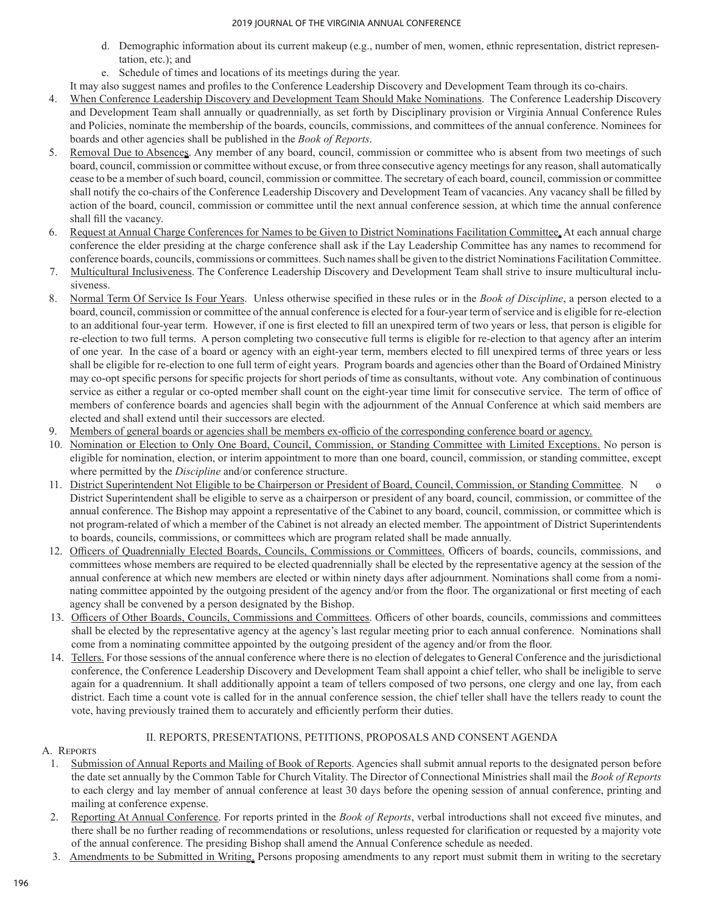- d. Demographic information about its current makeup (e.g., number of men, women, ethnic representation, district representation, etc.); and
- e. Schedule of times and locations of its meetings during the year.

 It may also suggest names and profiles to the Conference Leadership Discovery and Development Team through its co-chairs.

- 4. When Conference Leadership Discovery and Development Team Should Make Nominations. The Conference Leadership Discovery and Development Team shall annually or quadrennially, as set forth by Disciplinary provision or Virginia Annual Conference Rules and Policies, nominate the membership of the boards, councils, commissions, and committees of the annual conference. Nominees for boards and other agencies shall be published in the *Book of Reports*.
- 5. Removal Due to Absences. Any member of any board, council, commission or committee who is absent from two meetings of such board, council, commission or committee without excuse, or from three consecutive agency meetings for any reason, shall automatically cease to be a member of such board, council, commission or committee. The secretary of each board, council, commission or committee shall notify the co-chairs of the Conference Leadership Discovery and Development Team of vacancies. Any vacancy shall be filled by action of the board, council, commission or committee until the next annual conference session, at which time the annual conference shall fill the vacancy.
- 6. Request at Annual Charge Conferences for Names to be Given to District Nominations Facilitation Committee. At each annual charge conference the elder presiding at the charge conference shall ask if the Lay Leadership Committee has any names to recommend for conference boards, councils, commissions or committees. Such names shall be given to the district Nominations Facilitation Committee.
- 7. Multicultural Inclusiveness. The Conference Leadership Discovery and Development Team shall strive to insure multicultural inclusiveness.
- 8. Normal Term Of Service Is Four Years. Unless otherwise specified in these rules or in the *Book of Discipline*, a person elected to a board, council, commission or committee of the annual conference is elected for a four-year term ofservice and is eligible for re-election to an additional four-year term. However, if one is first elected to fill an unexpired term of two years or less, that person is eligible for re-election to two full terms. A person completing two consecutive full terms is eligible for re-election to that agency after an interim of one year. In the case of a board or agency with an eight-year term, members elected to fill unexpired terms of three years or less shall be eligible for re-election to one full term of eight years. Program boards and agencies other than the Board of Ordained Ministry may co-opt specific persons for specific projects for short periods of time as consultants, without vote. Any combination of continuous service as either a regular or co-opted member shall count on the eight-year time limit for consecutive service. The term of office of members of conference boards and agencies shall begin with the adjournment of the Annual Conference at which said members are elected and shall extend until their successors are elected.
- 9. Members of general boards or agencies shall be members ex-officio of the corresponding conference board or agency.
- 10. Nomination or Election to Only One Board, Council, Commission, or Standing Committee with Limited Exceptions. No person is eligible for nomination, election, or interim appointment to more than one board, council, commission, or standing committee, except where permitted by the *Discipline* and/or conference structure.
- 11. District Superintendent Not Eligible to be Chairperson or President of Board, Council, Commission, or Standing Committee. N District Superintendent shall be eligible to serve as a chairperson or president of any board, council, commission, or committee of the annual conference. The Bishop may appoint a representative of the Cabinet to any board, council, commission, or committee which is not program‑related of which a member of the Cabinet is not already an elected member. The appointment of District Superintendents to boards, councils, commissions, or committees which are program related shall be made annually.
- 12. Officers of Quadrennially Elected Boards, Councils, Commissions or Committees. Officers of boards, councils, commissions, and committees whose members are required to be elected quadrennially shall be elected by the representative agency at the session of the annual conference at which new members are elected or within ninety days after adjournment. Nominations shall come from a nominating committee appointed by the outgoing president of the agency and/or from the floor. The organizational or first meeting of each agency shall be convened by a person designated by the Bishop.
- 13. Officers of Other Boards, Councils, Commissions and Committees. Officers of other boards, councils, commissions and committees shall be elected by the representative agency at the agency's last regular meeting prior to each annual conference. Nominations shall come from a nominating committee appointed by the outgoing president of the agency and/or from the floor.
- 14. Tellers. For those sessions of the annual conference where there is no election of delegates to General Conference and the jurisdictional conference, the Conference Leadership Discovery and Development Team shall appoint a chief teller, who shall be ineligible to serve again for a quadrennium. It shall additionally appoint a team of tellers composed of two persons, one clergy and one lay, from each district. Each time a count vote is called for in the annual conference session, the chief teller shall have the tellers ready to count the vote, having previously trained them to accurately and efficiently perform their duties.

## II. REPORTS, PRESENTATIONS, PETITIONS, PROPOSALS AND CONSENT AGENDA

## A. Reports

- 1. Submission of Annual Reports and Mailing of Book of Reports. Agencies shall submit annual reports to the designated person before the date set annually by the Common Table for Church Vitality. The Director of Connectional Ministries shall mail the *Book of Reports*  to each clergy and lay member of annual conference at least 30 days before the opening session of annual conference, printing and mailing at conference expense.
- 2. Reporting At Annual Conference. For reports printed in the *Book of Reports*, verbal introductions shall not exceed five minutes, and there shall be no further reading of recommendations or resolutions, unless requested for clarification or requested by a majority vote of the annual conference. The presiding Bishop shall amend the Annual Conference schedule as needed.
- 3. Amendments to be Submitted in Writing. Persons proposing amendments to any report must submit them in writing to the secretary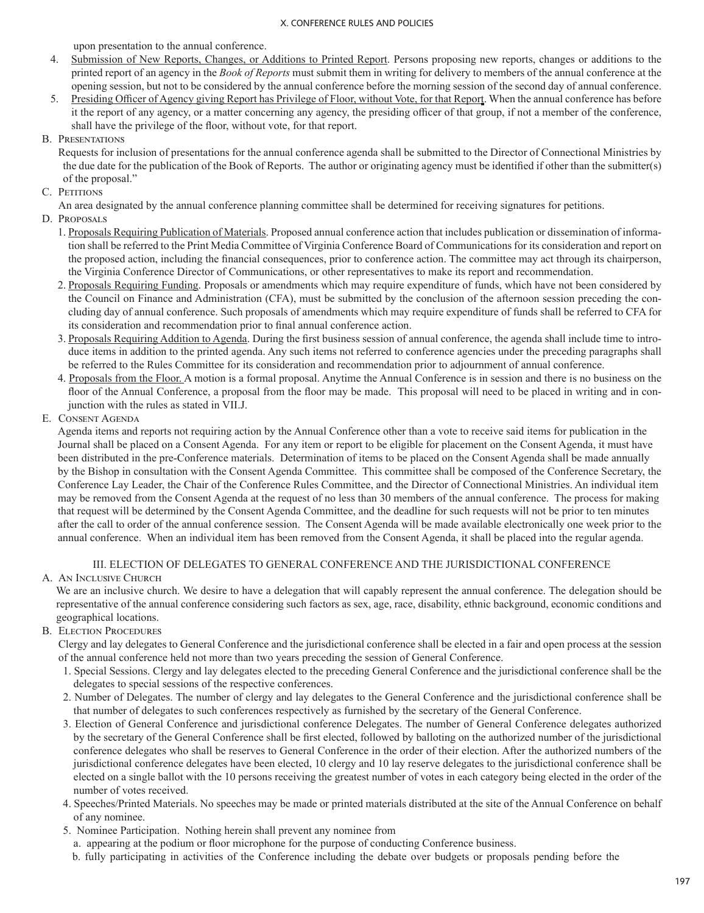upon presentation to the annual conference.

- 4. Submission of New Reports, Changes, or Additions to Printed Report. Persons proposing new reports, changes or additions to the printed report of an agency in the *Book of Reports* must submit them in writing for delivery to members of the annual conference at the opening session, but not to be considered by the annual conference before the morning session of the second day of annual conference.
- 5. Presiding Officer of Agency giving Report has Privilege of Floor, without Vote, for that Report. When the annual conference has before it the report of any agency, or a matter concerning any agency, the presiding officer of that group, if not a member of the conference, shall have the privilege of the floor, without vote, for that report.
- B. Presentations

Requests for inclusion of presentations for the annual conference agenda shall be submitted to the Director of Connectional Ministries by the due date for the publication of the Book of Reports. The author or originating agency must be identified if other than the submitter(s) of the proposal."

- C. PETITIONS
	- An area designated by the annual conference planning committee shall be determined for receiving signatures for petitions.
- D. PROPOSALS
	- 1. Proposals Requiring Publication of Materials. Proposed annual conference action that includes publication or dissemination of information shall be referred to the Print Media Committee of Virginia Conference Board of Communications for its consideration and report on the proposed action, including the financial consequences, prior to conference action. The committee may act through its chairperson, the Virginia Conference Director of Communications, or other representatives to make its report and recommendation.
	- 2. Proposals Requiring Funding. Proposals or amendments which may require expenditure of funds, which have not been considered by the Council on Finance and Administration (CFA), must be submitted by the conclusion of the afternoon session preceding the concluding day of annual conference. Such proposals of amendments which may require expenditure of funds shall be referred to CFA for its consideration and recommendation prior to final annual conference action.
	- 3. Proposals Requiring Addition to Agenda. During the first business session of annual conference, the agenda shall include time to introduce items in addition to the printed agenda. Any such items not referred to conference agencies under the preceding paragraphs shall be referred to the Rules Committee for its consideration and recommendation prior to adjournment of annual conference.
	- 4. Proposals from the Floor. A motion is a formal proposal. Anytime the Annual Conference is in session and there is no business on the floor of the Annual Conference, a proposal from the floor may be made. This proposal will need to be placed in writing and in conjunction with the rules as stated in VII.J.
- E. Consent Agenda

Agenda items and reports not requiring action by the Annual Conference other than a vote to receive said items for publication in the Journal shall be placed on a Consent Agenda. For any item or report to be eligible for placement on the Consent Agenda, it must have been distributed in the pre-Conference materials. Determination of items to be placed on the Consent Agenda shall be made annually by the Bishop in consultation with the Consent Agenda Committee. This committee shall be composed of the Conference Secretary, the Conference Lay Leader, the Chair of the Conference Rules Committee, and the Director of Connectional Ministries. An individual item may be removed from the Consent Agenda at the request of no less than 30 members of the annual conference. The process for making that request will be determined by the Consent Agenda Committee, and the deadline for such requests will not be prior to ten minutes after the call to order of the annual conference session. The Consent Agenda will be made available electronically one week prior to the annual conference. When an individual item has been removed from the Consent Agenda, it shall be placed into the regular agenda.

## III. ELECTION OF DELEGATES TO GENERAL CONFERENCE AND THE JURISDICTIONAL CONFERENCE

A. AN INCLUSIVE CHURCH

We are an inclusive church. We desire to have a delegation that will capably represent the annual conference. The delegation should be representative of the annual conference considering such factors as sex, age, race, disability, ethnic background, economic conditions and geographical locations.

**B. ELECTION PROCEDURES** 

Clergy and lay delegates to General Conference and the jurisdictional conference shall be elected in a fair and open process at the session of the annual conference held not more than two years preceding the session of General Conference.

- 1. Special Sessions. Clergy and lay delegates elected to the preceding General Conference and the jurisdictional conference shall be the delegates to special sessions of the respective conferences.
- 2. Number of Delegates. The number of clergy and lay delegates to the General Conference and the jurisdictional conference shall be that number of delegates to such conferences respectively as furnished by the secretary of the General Conference.
- 3. Election of General Conference and jurisdictional conference Delegates. The number of General Conference delegates authorized by the secretary of the General Conference shall be first elected, followed by balloting on the authorized number of the jurisdictional conference delegates who shall be reserves to General Conference in the order of their election. After the authorized numbers of the jurisdictional conference delegates have been elected, 10 clergy and 10 lay reserve delegates to the jurisdictional conference shall be elected on a single ballot with the 10 persons receiving the greatest number of votes in each category being elected in the order of the number of votes received.
- 4. Speeches/Printed Materials. No speeches may be made or printed materials distributed at the site of the Annual Conference on behalf of any nominee.
- 5. Nominee Participation. Nothing herein shall prevent any nominee from
- a. appearing at the podium or floor microphone for the purpose of conducting Conference business.
- b. fully participating in activities of the Conference including the debate over budgets or proposals pending before the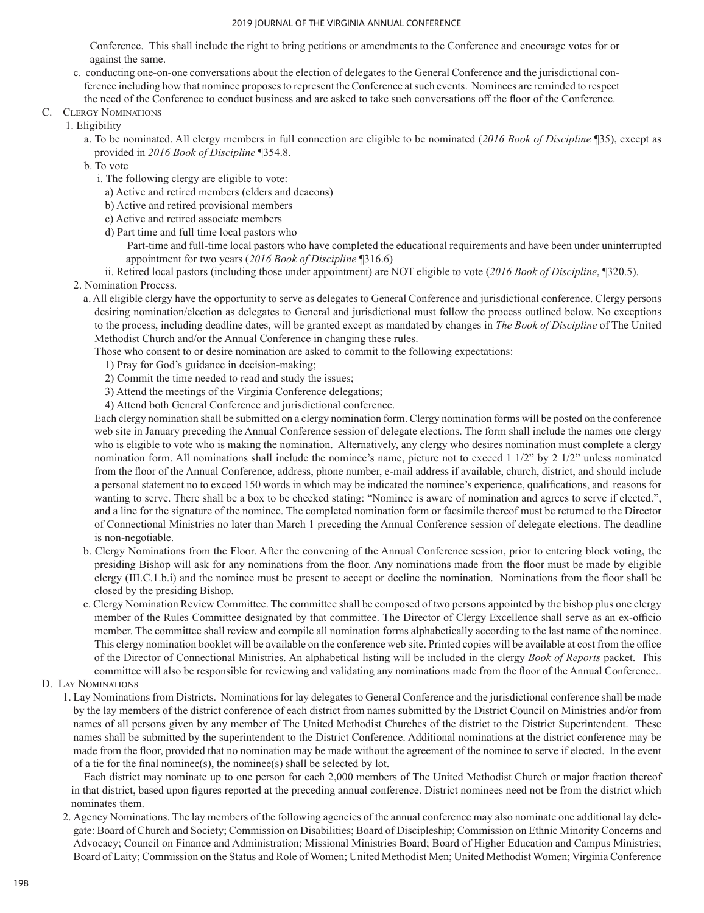Conference. This shall include the right to bring petitions or amendments to the Conference and encourage votes for or against the same.

- c. conducting one-on-one conversations about the election of delegates to the General Conference and the jurisdictional conference including how that nominee proposes to represent the Conference at such events. Nominees are reminded to respect the need of the Conference to conduct business and are asked to take such conversations off the floor of the Conference.
- C. Clergy Nominations
	- 1. Eligibility
		- a. To be nominated. All clergy members in full connection are eligible to be nominated (*2016 Book of Discipline* ¶35), except as provided in *2016 Book of Discipline* ¶354.8.
		- b. To vote
			- i. The following clergy are eligible to vote:
			- a) Active and retired members (elders and deacons)
			- b) Active and retired provisional members
			- c) Active and retired associate members
			- d) Part time and full time local pastors who
				- Part-time and full-time local pastors who have completed the educational requirements and have been under uninterrupted appointment for two years (*2016 Book of Discipline* ¶316.6)
		- ii. Retired local pastors (including those under appointment) are NOT eligible to vote (*2016 Book of Discipline*, ¶320.5). 2. Nomination Process.
			- a. All eligible clergy have the opportunity to serve as delegates to General Conference and jurisdictional conference. Clergy persons desiring nomination/election as delegates to General and jurisdictional must follow the process outlined below. No exceptions to the process, including deadline dates, will be granted except as mandated by changes in *The Book of Discipline* of The United Methodist Church and/or the Annual Conference in changing these rules.

Those who consent to or desire nomination are asked to commit to the following expectations:

- 1) Pray for God's guidance in decision-making;
- 2) Commit the time needed to read and study the issues;
- 3) Attend the meetings of the Virginia Conference delegations;
- 4) Attend both General Conference and jurisdictional conference.

Each clergy nomination shall be submitted on a clergy nomination form. Clergy nomination forms will be posted on the conference web site in January preceding the Annual Conference session of delegate elections. The form shall include the names one clergy who is eligible to vote who is making the nomination. Alternatively, any clergy who desires nomination must complete a clergy nomination form. All nominations shall include the nominee's name, picture not to exceed 1 1/2" by 2 1/2" unless nominated from the floor of the Annual Conference, address, phone number, e-mail address if available, church, district, and should include a personal statement no to exceed 150 words in which may be indicated the nominee's experience, qualifications, and reasons for wanting to serve. There shall be a box to be checked stating: "Nominee is aware of nomination and agrees to serve if elected.", and a line for the signature of the nominee. The completed nomination form or facsimile thereof must be returned to the Director of Connectional Ministries no later than March 1 preceding the Annual Conference session of delegate elections. The deadline is non-negotiable.

- b. Clergy Nominations from the Floor. After the convening of the Annual Conference session, prior to entering block voting, the presiding Bishop will ask for any nominations from the floor. Any nominations made from the floor must be made by eligible clergy (III.C.1.b.i) and the nominee must be present to accept or decline the nomination. Nominations from the floor shall be closed by the presiding Bishop.
- c. Clergy Nomination Review Committee. The committee shall be composed of two persons appointed by the bishop plus one clergy member of the Rules Committee designated by that committee. The Director of Clergy Excellence shall serve as an ex-officio member. The committee shall review and compile all nomination forms alphabetically according to the last name of the nominee. This clergy nomination booklet will be available on the conference web site. Printed copies will be available at cost from the office of the Director of Connectional Ministries. An alphabetical listing will be included in the clergy *Book of Reports* packet. This committee will also be responsible for reviewing and validating any nominations made from the floor of the Annual Conference..
- D. Lay Nominations
	- 1. Lay Nominations from Districts. Nominations for lay delegates to General Conference and the jurisdictional conference shall be made by the lay members of the district conference of each district from names submitted by the District Council on Ministries and/or from names of all persons given by any member of The United Methodist Churches of the district to the District Superintendent. These names shall be submitted by the superintendent to the District Conference. Additional nominations at the district conference may be made from the floor, provided that no nomination may be made without the agreement of the nominee to serve if elected. In the event of a tie for the final nominee(s), the nominee(s) shall be selected by lot.

 Each district may nominate up to one person for each 2,000 members of The United Methodist Church or major fraction thereof in that district, based upon figures reported at the preceding annual conference. District nominees need not be from the district which nominates them.

2. Agency Nominations. The lay members of the following agencies of the annual conference may also nominate one additional lay delegate: Board of Church and Society; Commission on Disabilities; Board of Discipleship; Commission on Ethnic Minority Concerns and Advocacy; Council on Finance and Administration; Missional Ministries Board; Board of Higher Education and Campus Ministries; Board of Laity; Commission on the Status and Role of Women; United Methodist Men; United Methodist Women; Virginia Conference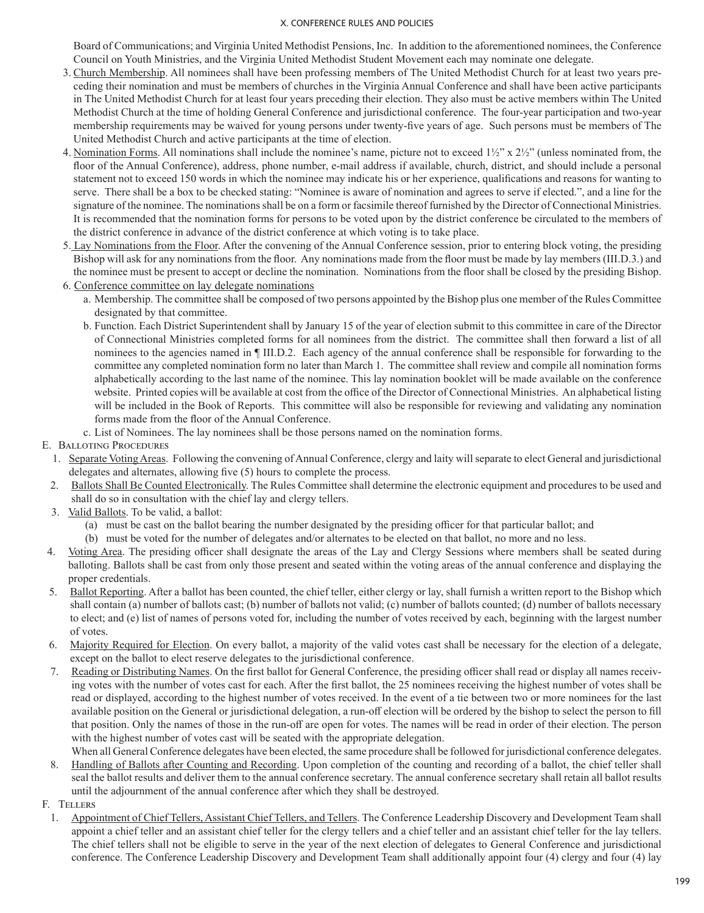Board of Communications; and Virginia United Methodist Pensions, Inc. In addition to the aforementioned nominees, the Conference Council on Youth Ministries, and the Virginia United Methodist Student Movement each may nominate one delegate.

- 3. Church Membership. All nominees shall have been professing members of The United Methodist Church for at least two years preceding their nomination and must be members of churches in the Virginia Annual Conference and shall have been active participants in The United Methodist Church for at least four years preceding their election. They also must be active members within The United Methodist Church at the time of holding General Conference and jurisdictional conference. The four-year participation and two-year membership requirements may be waived for young persons under twenty-five years of age. Such persons must be members of The United Methodist Church and active participants at the time of election.
- 4. Nomination Forms. All nominations shall include the nominee's name, picture not to exceed  $1\frac{1}{2}$ " x  $2\frac{1}{2}$ " (unless nominated from, the floor of the Annual Conference), address, phone number, e-mail address if available, church, district, and should include a personal statement not to exceed 150 words in which the nominee may indicate his or her experience, qualifications and reasons for wanting to serve. There shall be a box to be checked stating: "Nominee is aware of nomination and agrees to serve if elected.", and a line for the signature of the nominee. The nominations shall be on a form or facsimile thereof furnished by the Director of Connectional Ministries. It is recommended that the nomination forms for persons to be voted upon by the district conference be circulated to the members of the district conference in advance of the district conference at which voting is to take place.
- 5. Lay Nominations from the Floor. After the convening of the Annual Conference session, prior to entering block voting, the presiding Bishop will ask for any nominations from the floor. Any nominations made from the floor must be made by lay members (III.D.3.) and the nominee must be present to accept or decline the nomination. Nominations from the floor shall be closed by the presiding Bishop.
- 6. Conference committee on lay delegate nominations
	- a. Membership. The committee shall be composed of two persons appointed by the Bishop plus one member of the Rules Committee designated by that committee.
	- b. Function. Each District Superintendent shall by January 15 of the year of election submit to this committee in care of the Director of Connectional Ministries completed forms for all nominees from the district. The committee shall then forward a list of all nominees to the agencies named in  $\P$  III.D.2. Each agency of the annual conference shall be responsible for forwarding to the committee any completed nomination form no later than March 1. The committee shall review and compile all nomination forms alphabetically according to the last name of the nominee. This lay nomination booklet will be made available on the conference website. Printed copies will be available at cost from the office of the Director of Connectional Ministries. An alphabetical listing will be included in the Book of Reports. This committee will also be responsible for reviewing and validating any nomination forms made from the floor of the Annual Conference.
	- c. List of Nominees. The lay nominees shall be those persons named on the nomination forms.

### E. Balloting Procedures

- 1. Separate Voting Areas. Following the convening of Annual Conference, clergy and laity will separate to elect General and jurisdictional delegates and alternates, allowing five (5) hours to complete the process.
- 2. Ballots Shall Be Counted Electronically. The Rules Committee shall determine the electronic equipment and procedures to be used and shall do so in consultation with the chief lay and clergy tellers.
- 3. Valid Ballots. To be valid, a ballot:
	- (a) must be cast on the ballot bearing the number designated by the presiding officer for that particular ballot; and
	- (b) must be voted for the number of delegates and/or alternates to be elected on that ballot, no more and no less.
- 4. Voting Area. The presiding officer shall designate the areas of the Lay and Clergy Sessions where members shall be seated during balloting. Ballots shall be cast from only those present and seated within the voting areas of the annual conference and displaying the proper credentials.
- 5. Ballot Reporting. After a ballot has been counted, the chief teller, either clergy or lay, shall furnish a written report to the Bishop which shall contain (a) number of ballots cast; (b) number of ballots not valid; (c) number of ballots counted; (d) number of ballots necessary to elect; and (e) list of names of persons voted for, including the number of votes received by each, beginning with the largest number of votes.
- 6. Majority Required for Election. On every ballot, a majority of the valid votes cast shall be necessary for the election of a delegate, except on the ballot to elect reserve delegates to the jurisdictional conference.
- 7. Reading or Distributing Names. On the first ballot for General Conference, the presiding officer shall read or display all names receiving votes with the number of votes cast for each. After the first ballot, the 25 nominees receiving the highest number of votes shall be read or displayed, according to the highest number of votes received. In the event of a tie between two or more nominees for the last available position on the General or jurisdictional delegation, a run-off election will be ordered by the bishop to select the person to fill that position. Only the names of those in the run-off are open for votes. The names will be read in order of their election. The person with the highest number of votes cast will be seated with the appropriate delegation.
- When all General Conference delegates have been elected, the same procedure shall be followed for jurisdictional conference delegates. 8. Handling of Ballots after Counting and Recording. Upon completion of the counting and recording of a ballot, the chief teller shall seal the ballot results and deliver them to the annual conference secretary. The annual conference secretary shall retain all ballot results
	- until the adjournment of the annual conference after which they shall be destroyed.
- F. Tellers
	- 1. Appointment of Chief Tellers, Assistant Chief Tellers, and Tellers. The Conference Leadership Discovery and Development Team shall appoint a chief teller and an assistant chief teller for the clergy tellers and a chief teller and an assistant chief teller for the lay tellers. The chief tellers shall not be eligible to serve in the year of the next election of delegates to General Conference and jurisdictional conference. The Conference Leadership Discovery and Development Team shall additionally appoint four (4) clergy and four (4) lay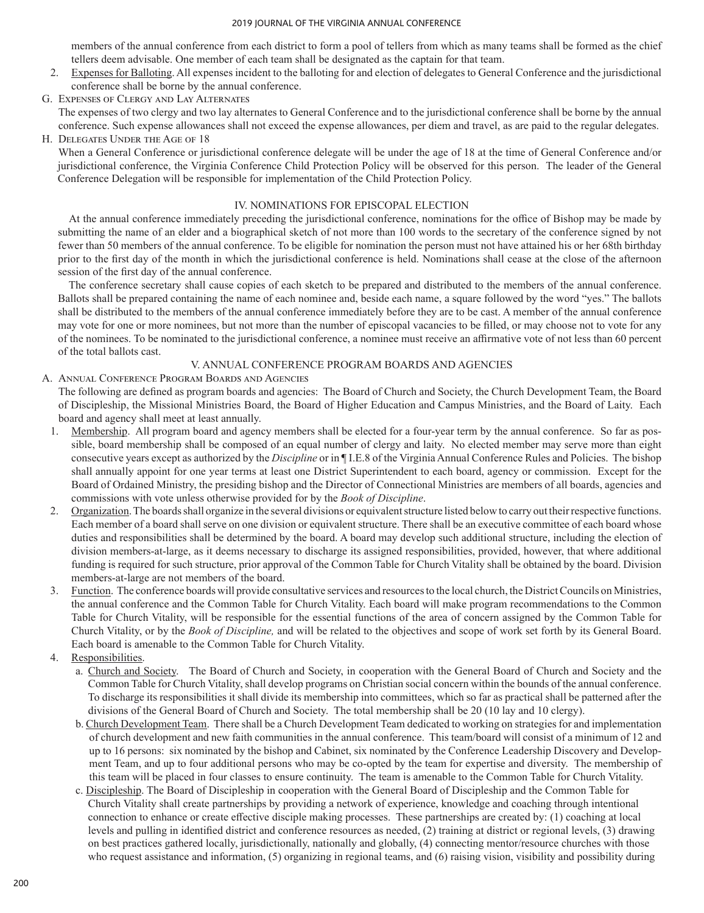members of the annual conference from each district to form a pool of tellers from which as many teams shall be formed as the chief tellers deem advisable. One member of each team shall be designated as the captain for that team.

- 2. Expenses for Balloting. All expenses incident to the balloting for and election of delegates to General Conference and the jurisdictional conference shall be borne by the annual conference.
- G. EXPENSES OF CLERGY AND LAY ALTERNATES

The expenses of two clergy and two lay alternates to General Conference and to the jurisdictional conference shall be borne by the annual conference. Such expense allowances shall not exceed the expense allowances, per diem and travel, as are paid to the regular delegates.

### H. Delegates Under the Age of 18

When a General Conference or jurisdictional conference delegate will be under the age of 18 at the time of General Conference and/or jurisdictional conference, the Virginia Conference Child Protection Policy will be observed for this person. The leader of the General Conference Delegation will be responsible for implementation of the Child Protection Policy.

## IV. NOMINATIONS FOR EPISCOPAL ELECTION

 At the annual conference immediately preceding the jurisdictional conference, nominations for the office of Bishop may be made by submitting the name of an elder and a biographical sketch of not more than 100 words to the secretary of the conference signed by not fewer than 50 members of the annual conference. To be eligible for nomination the person must not have attained his or her 68th birthday prior to the first day of the month in which the jurisdictional conference is held. Nominations shall cease at the close of the afternoon session of the first day of the annual conference.

 The conference secretary shall cause copies of each sketch to be prepared and distributed to the members of the annual conference. Ballots shall be prepared containing the name of each nominee and, beside each name, a square followed by the word "yes." The ballots shall be distributed to the members of the annual conference immediately before they are to be cast. A member of the annual conference may vote for one or more nominees, but not more than the number of episcopal vacancies to be filled, or may choose not to vote for any of the nominees. To be nominated to the jurisdictional conference, a nominee must receive an affirmative vote of not less than 60 percent of the total ballots cast.

### V. ANNUAL CONFERENCE PROGRAM BOARDS AND AGENCIES

### A. ANNUAL CONFERENCE PROGRAM BOARDS AND AGENCIES

The following are defined as program boards and agencies: The Board of Church and Society, the Church Development Team, the Board of Discipleship, the Missional Ministries Board, the Board of Higher Education and Campus Ministries, and the Board of Laity. Each board and agency shall meet at least annually.

- 1. Membership. All program board and agency members shall be elected for a four-year term by the annual conference. So far as possible, board membership shall be composed of an equal number of clergy and laity. No elected member may serve more than eight consecutive years except as authorized by the *Discipline* or in ¶ I.E.8 of the Virginia Annual Conference Rules and Policies. The bishop shall annually appoint for one year terms at least one District Superintendent to each board, agency or commission. Except for the Board of Ordained Ministry, the presiding bishop and the Director of Connectional Ministries are members of all boards, agencies and commissions with vote unless otherwise provided for by the *Book of Discipline*.
- 2. Organization. The boards shall organize in the several divisions or equivalent structure listed below to carry out their respective functions. Each member of a board shall serve on one division or equivalent structure. There shall be an executive committee of each board whose duties and responsibilities shall be determined by the board. A board may develop such additional structure, including the election of division members-at-large, as it deems necessary to discharge its assigned responsibilities, provided, however, that where additional funding is required for such structure, prior approval of the Common Table for Church Vitality shall be obtained by the board. Division members-at-large are not members of the board.
- 3. Function. The conference boards will provide consultative services and resources to the local church, the District Councils on Ministries, the annual conference and the Common Table for Church Vitality. Each board will make program recommendations to the Common Table for Church Vitality, will be responsible for the essential functions of the area of concern assigned by the Common Table for Church Vitality, or by the *Book of Discipline,* and will be related to the objectives and scope of work set forth by its General Board. Each board is amenable to the Common Table for Church Vitality.
- 4. Responsibilities.
	- a. Church and Society. The Board of Church and Society, in cooperation with the General Board of Church and Society and the Common Table for Church Vitality, shall develop programs on Christian social concern within the bounds of the annual conference. To discharge its responsibilities it shall divide its membership into committees, which so far as practical shall be patterned after the divisions of the General Board of Church and Society. The total membership shall be 20 (10 lay and 10 clergy).
	- b. Church Development Team. There shall be a Church Development Team dedicated to working on strategies for and implementation of church development and new faith communities in the annual conference. This team/board will consist of a minimum of 12 and up to 16 persons: six nominated by the bishop and Cabinet, six nominated by the Conference Leadership Discovery and Development Team, and up to four additional persons who may be co-opted by the team for expertise and diversity. The membership of this team will be placed in four classes to ensure continuity. The team is amenable to the Common Table for Church Vitality.
	- c. Discipleship. The Board of Discipleship in cooperation with the General Board of Discipleship and the Common Table for Church Vitality shall create partnerships by providing a network of experience, knowledge and coaching through intentional connection to enhance or create effective disciple making processes. These partnerships are created by: (1) coaching at local levels and pulling in identified district and conference resources as needed, (2) training at district or regional levels, (3) drawing on best practices gathered locally, jurisdictionally, nationally and globally, (4) connecting mentor/resource churches with those who request assistance and information, (5) organizing in regional teams, and (6) raising vision, visibility and possibility during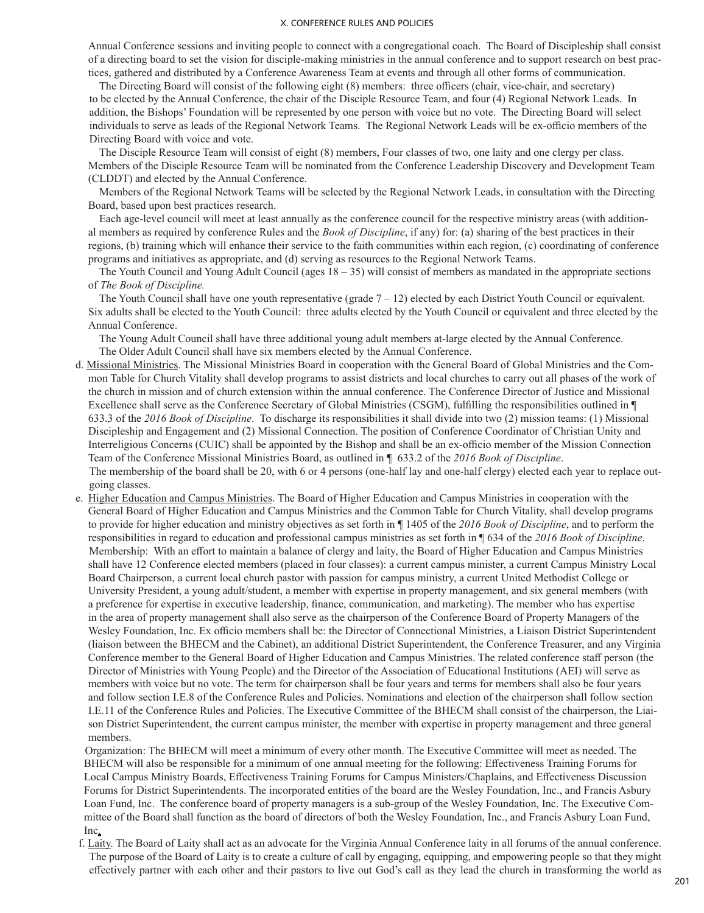Annual Conference sessions and inviting people to connect with a congregational coach. The Board of Discipleship shall consist of a directing board to set the vision for disciple-making ministries in the annual conference and to support research on best practices, gathered and distributed by a Conference Awareness Team at events and through all other forms of communication.

 The Directing Board will consist of the following eight (8) members: three officers (chair, vice-chair, and secretary) to be elected by the Annual Conference, the chair of the Disciple Resource Team, and four (4) Regional Network Leads. In addition, the Bishops' Foundation will be represented by one person with voice but no vote. The Directing Board will select individuals to serve as leads of the Regional Network Teams. The Regional Network Leads will be ex-officio members of the Directing Board with voice and vote.

 The Disciple Resource Team will consist of eight (8) members, Four classes of two, one laity and one clergy per class. Members of the Disciple Resource Team will be nominated from the Conference Leadership Discovery and Development Team (CLDDT) and elected by the Annual Conference.

 Members of the Regional Network Teams will be selected by the Regional Network Leads, in consultation with the Directing Board, based upon best practices research.

 Each age-level council will meet at least annually as the conference council for the respective ministry areas (with additional members as required by conference Rules and the *Book of Discipline*, if any) for: (a) sharing of the best practices in their regions, (b) training which will enhance their service to the faith communities within each region, (c) coordinating of conference programs and initiatives as appropriate, and (d) serving as resources to the Regional Network Teams.

The Youth Council and Young Adult Council (ages  $18 - 35$ ) will consist of members as mandated in the appropriate sections of *The Book of Discipline.*

The Youth Council shall have one youth representative (grade  $7 - 12$ ) elected by each District Youth Council or equivalent. Six adults shall be elected to the Youth Council: three adults elected by the Youth Council or equivalent and three elected by the Annual Conference.

 The Young Adult Council shall have three additional young adult members at-large elected by the Annual Conference. The Older Adult Council shall have six members elected by the Annual Conference.

- d. Missional Ministries. The Missional Ministries Board in cooperation with the General Board of Global Ministries and the Common Table for Church Vitality shall develop programs to assist districts and local churches to carry out all phases of the work of the church in mission and of church extension within the annual conference. The Conference Director of Justice and Missional Excellence shall serve as the Conference Secretary of Global Ministries (CSGM), fulfilling the responsibilities outlined in ¶ 633.3 of the *2016 Book of Discipline*. To discharge its responsibilities it shall divide into two (2) mission teams: (1) Missional Discipleship and Engagement and (2) Missional Connection. The position of Conference Coordinator of Christian Unity and Interreligious Concerns (CUIC) shall be appointed by the Bishop and shall be an ex-officio member of the Mission Connection Team of the Conference Missional Ministries Board, as outlined in ¶ 633.2 of the *2016 Book of Discipline*. The membership of the board shall be 20, with 6 or 4 persons (one-half lay and one-half clergy) elected each year to replace outgoing classes.
- e. Higher Education and Campus Ministries. The Board of Higher Education and Campus Ministries in cooperation with the General Board of Higher Education and Campus Ministries and the Common Table for Church Vitality, shall develop programs to provide for higher education and ministry objectives as set forth in ¶ 1405 of the *2016 Book of Discipline*, and to perform the responsibilities in regard to education and professional campus ministries as set forth in ¶ 634 of the *2016 Book of Discipline*. Membership: With an effort to maintain a balance of clergy and laity, the Board of Higher Education and Campus Ministries shall have 12 Conference elected members (placed in four classes): a current campus minister, a current Campus Ministry Local Board Chairperson, a current local church pastor with passion for campus ministry, a current United Methodist College or University President, a young adult/student, a member with expertise in property management, and six general members (with a preference for expertise in executive leadership, finance, communication, and marketing). The member who has expertise in the area of property management shall also serve as the chairperson of the Conference Board of Property Managers of the Wesley Foundation, Inc. Ex officio members shall be: the Director of Connectional Ministries, a Liaison District Superintendent (liaison between the BHECM and the Cabinet), an additional District Superintendent, the Conference Treasurer, and any Virginia Conference member to the General Board of Higher Education and Campus Ministries. The related conference staff person (the Director of Ministries with Young People) and the Director of the Association of Educational Institutions (AEI) will serve as members with voice but no vote. The term for chairperson shall be four years and terms for members shall also be four years and follow section I.E.8 of the Conference Rules and Policies. Nominations and election of the chairperson shall follow section I.E.11 of the Conference Rules and Policies. The Executive Committee of the BHECM shall consist of the chairperson, the Liaison District Superintendent, the current campus minister, the member with expertise in property management and three general members.

Organization: The BHECM will meet a minimum of every other month. The Executive Committee will meet as needed. The BHECM will also be responsible for a minimum of one annual meeting for the following: Effectiveness Training Forums for Local Campus Ministry Boards, Effectiveness Training Forums for Campus Ministers/Chaplains, and Effectiveness Discussion Forums for District Superintendents. The incorporated entities of the board are the Wesley Foundation, Inc., and Francis Asbury Loan Fund, Inc. The conference board of property managers is a sub-group of the Wesley Foundation, Inc. The Executive Committee of the Board shall function as the board of directors of both the Wesley Foundation, Inc., and Francis Asbury Loan Fund, Inc.

f. Laity. The Board of Laity shall act as an advocate for the Virginia Annual Conference laity in all forums of the annual conference. The purpose of the Board of Laity is to create a culture of call by engaging, equipping, and empowering people so that they might effectively partner with each other and their pastors to live out God's call as they lead the church in transforming the world as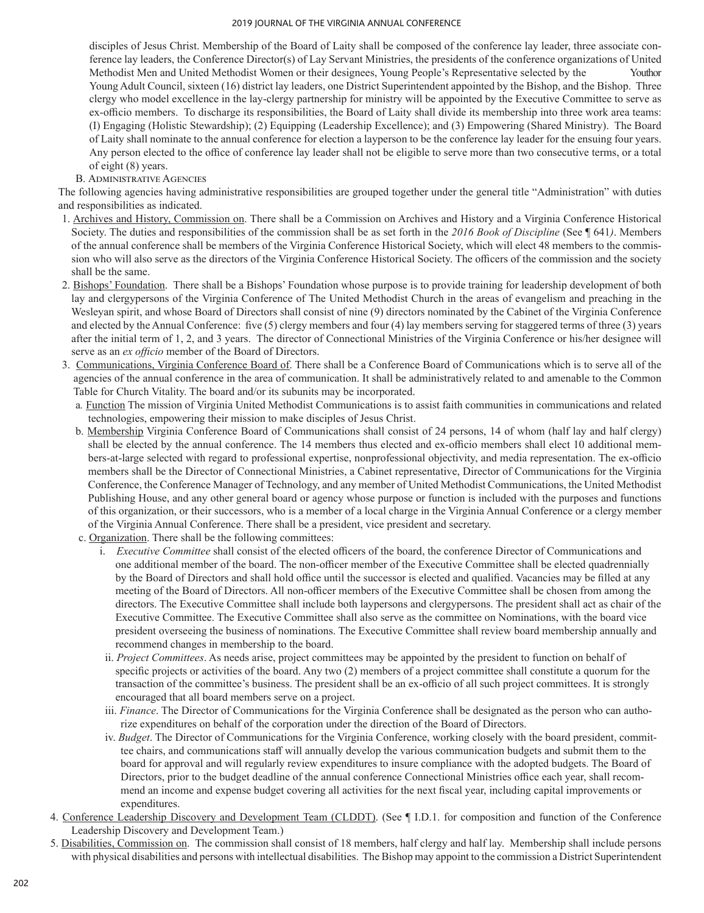disciples of Jesus Christ. Membership of the Board of Laity shall be composed of the conference lay leader, three associate conference lay leaders, the Conference Director(s) of Lay Servant Ministries, the presidents of the conference organizations of United Methodist Men and United Methodist Women or their designees, Young People's Representative selected by the Youthor Young Adult Council, sixteen (16) district lay leaders, one District Superintendent appointed by the Bishop, and the Bishop. Three clergy who model excellence in the lay-clergy partnership for ministry will be appointed by the Executive Committee to serve as ex-officio members. To discharge its responsibilities, the Board of Laity shall divide its membership into three work area teams: (I) Engaging (Holistic Stewardship); (2) Equipping (Leadership Excellence); and (3) Empowering (Shared Ministry). The Board of Laity shall nominate to the annual conference for election a layperson to be the conference lay leader for the ensuing four years. Any person elected to the office of conference lay leader shall not be eligible to serve more than two consecutive terms, or a total of eight (8) years.

## B. Administrative Agencies

The following agencies having administrative responsibilities are grouped together under the general title "Administration" with duties and responsibilities as indicated.

- 1. Archives and History, Commission on. There shall be a Commission on Archives and History and a Virginia Conference Historical Society. The duties and responsibilities of the commission shall be as set forth in the *2016 Book of Discipline* (See ¶ 641*)*. Members of the annual conference shall be members of the Virginia Conference Historical Society, which will elect 48 members to the commission who will also serve as the directors of the Virginia Conference Historical Society. The officers of the commission and the society shall be the same.
- 2. Bishops' Foundation. There shall be a Bishops' Foundation whose purpose is to provide training for leadership development of both lay and clergypersons of the Virginia Conference of The United Methodist Church in the areas of evangelism and preaching in the Wesleyan spirit, and whose Board of Directors shall consist of nine (9) directors nominated by the Cabinet of the Virginia Conference and elected by the Annual Conference: five (5) clergy members and four (4) lay members serving for staggered terms of three (3) years after the initial term of 1, 2, and 3 years. The director of Connectional Ministries of the Virginia Conference or his/her designee will serve as an *ex officio* member of the Board of Directors.
- 3. Communications, Virginia Conference Board of. There shall be a Conference Board of Communications which is to serve all of the agencies of the annual conference in the area of communication. It shall be administratively related to and amenable to the Common Table for Church Vitality. The board and/or its subunits may be incorporated.
	- a*.* Function The mission of Virginia United Methodist Communications is to assist faith communities in communications and related technologies, empowering their mission to make disciples of Jesus Christ.
	- b. Membership Virginia Conference Board of Communications shall consist of 24 persons, 14 of whom (half lay and half clergy) shall be elected by the annual conference. The 14 members thus elected and ex-officio members shall elect 10 additional members–at-large selected with regard to professional expertise, nonprofessional objectivity, and media representation. The ex–officio members shall be the Director of Connectional Ministries, a Cabinet representative, Director of Communications for the Virginia Conference, the Conference Manager of Technology, and any member of United Methodist Communications, the United Methodist Publishing House, and any other general board or agency whose purpose or function is included with the purposes and functions of this organization, or their successors, who is a member of a local charge in the Virginia Annual Conference or a clergy member of the Virginia Annual Conference. There shall be a president, vice president and secretary.
	- c. Organization. There shall be the following committees:
		- i. *Executive Committee* shall consist of the elected officers of the board, the conference Director of Communications and one additional member of the board. The non-officer member of the Executive Committee shall be elected quadrennially by the Board of Directors and shall hold office until the successor is elected and qualified. Vacancies may be filled at any meeting of the Board of Directors. All non-officer members of the Executive Committee shall be chosen from among the directors. The Executive Committee shall include both laypersons and clergypersons. The president shall act as chair of the Executive Committee. The Executive Committee shall also serve as the committee on Nominations, with the board vice president overseeing the business of nominations. The Executive Committee shall review board membership annually and recommend changes in membership to the board.
		- ii. *Project Committees*. As needs arise, project committees may be appointed by the president to function on behalf of specific projects or activities of the board. Any two (2) members of a project committee shall constitute a quorum for the transaction of the committee's business. The president shall be an ex-officio of all such project committees. It is strongly encouraged that all board members serve on a project.
		- iii. *Finance*. The Director of Communications for the Virginia Conference shall be designated as the person who can authorize expenditures on behalf of the corporation under the direction of the Board of Directors.
		- iv. *Budget*. The Director of Communications for the Virginia Conference, working closely with the board president, committee chairs, and communications staff will annually develop the various communication budgets and submit them to the board for approval and will regularly review expenditures to insure compliance with the adopted budgets. The Board of Directors, prior to the budget deadline of the annual conference Connectional Ministries office each year, shall recommend an income and expense budget covering all activities for the next fiscal year, including capital improvements or expenditures.
- 4. Conference Leadership Discovery and Development Team (CLDDT). (See ¶ I.D.1. for composition and function of the Conference Leadership Discovery and Development Team.)
- 5. Disabilities, Commission on. The commission shall consist of 18 members, half clergy and half lay. Membership shall include persons with physical disabilities and persons with intellectual disabilities. The Bishop may appoint to the commission a District Superintendent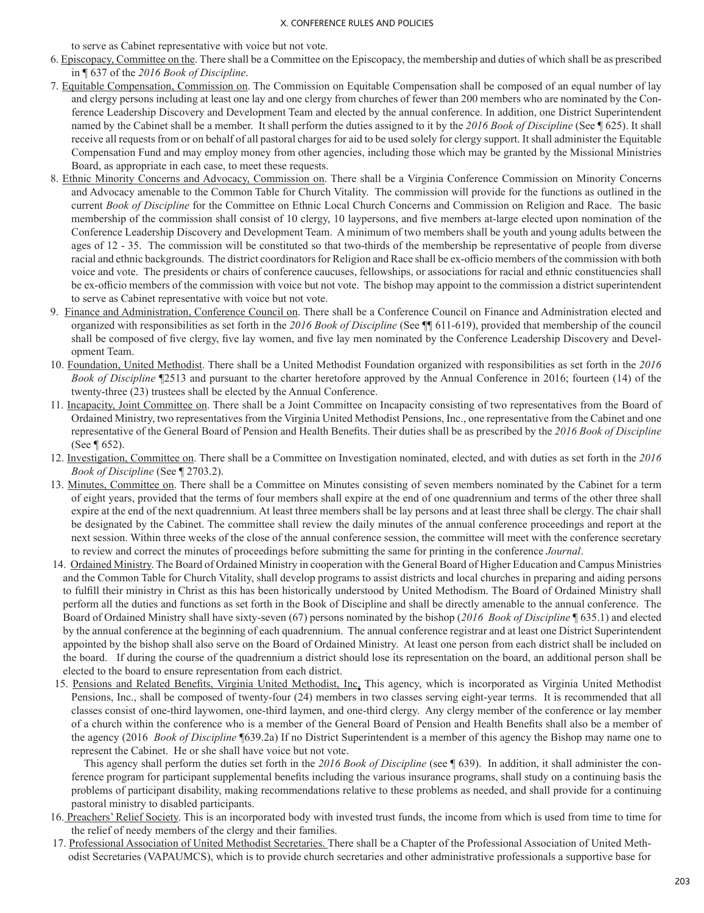to serve as Cabinet representative with voice but not vote.

- 6. Episcopacy, Committee on the. There shall be a Committee on the Episcopacy, the membership and duties of which shall be as prescribed in ¶ 637 of the *2016 Book of Discipline*.
- 7. Equitable Compensation, Commission on. The Commission on Equitable Compensation shall be composed of an equal number of lay and clergy persons including at least one lay and one clergy from churches of fewer than 200 members who are nominated by the Conference Leadership Discovery and Development Team and elected by the annual conference. In addition, one District Superintendent named by the Cabinet shall be a member. It shall perform the duties assigned to it by the *2016 Book of Discipline* (See ¶ 625). It shall receive all requests from or on behalf of all pastoral charges for aid to be used solely for clergy support. It shall administer the Equitable Compensation Fund and may employ money from other agencies, including those which may be granted by the Missional Ministries Board, as appropriate in each case, to meet these requests.
- 8. Ethnic Minority Concerns and Advocacy, Commission on. There shall be a Virginia Conference Commission on Minority Concerns and Advocacy amenable to the Common Table for Church Vitality. The commission will provide for the functions as outlined in the current *Book of Discipline* for the Committee on Ethnic Local Church Concerns and Commission on Religion and Race. The basic membership of the commission shall consist of 10 clergy, 10 laypersons, and five members at-large elected upon nomination of the Conference Leadership Discovery and Development Team. A minimum of two members shall be youth and young adults between the ages of 12 - 35. The commission will be constituted so that two-thirds of the membership be representative of people from diverse racial and ethnic backgrounds. The district coordinatorsfor Religion and Race shall be ex-officio members of the commission with both voice and vote. The presidents or chairs of conference caucuses, fellowships, or associations for racial and ethnic constituencies shall be ex-officio members of the commission with voice but not vote. The bishop may appoint to the commission a district superintendent to serve as Cabinet representative with voice but not vote.
- 9. Finance and Administration, Conference Council on. There shall be a Conference Council on Finance and Administration elected and organized with responsibilities as set forth in the *2016 Book of Discipline* (See ¶¶ 611-619), provided that membership of the council shall be composed of five clergy, five lay women, and five lay men nominated by the Conference Leadership Discovery and Development Team.
- 10. Foundation, United Methodist. There shall be a United Methodist Foundation organized with responsibilities as set forth in the *2016 Book of Discipline* ¶2513 and pursuant to the charter heretofore approved by the Annual Conference in 2016; fourteen (14) of the twenty-three (23) trustees shall be elected by the Annual Conference.
- 11. Incapacity, Joint Committee on. There shall be a Joint Committee on Incapacity consisting of two representatives from the Board of Ordained Ministry, two representatives from the Virginia United Methodist Pensions, Inc., one representative from the Cabinet and one representative of the General Board of Pension and Health Benefits. Their duties shall be as prescribed by the *2016 Book of Discipline* (See ¶ 652).
- 12. Investigation, Committee on. There shall be a Committee on Investigation nominated, elected, and with duties as set forth in the *2016 Book of Discipline* (See ¶ 2703.2).
- 13. Minutes, Committee on. There shall be a Committee on Minutes consisting of seven members nominated by the Cabinet for a term of eight years, provided that the terms of four members shall expire at the end of one quadrennium and terms of the other three shall expire at the end of the next quadrennium. At least three members shall be lay persons and at least three shall be clergy. The chair shall be designated by the Cabinet. The committee shall review the daily minutes of the annual conference proceedings and report at the next session. Within three weeks of the close of the annual conference session, the committee will meet with the conference secretary to review and correct the minutes of proceedings before submitting the same for printing in the conference *Journal*.
- 14. Ordained Ministry. The Board of Ordained Ministry in cooperation with the General Board of Higher Education and Campus Ministries and the Common Table for Church Vitality, shall develop programs to assist districts and local churches in preparing and aiding persons to fulfill their ministry in Christ as this has been historically understood by United Methodism. The Board of Ordained Ministry shall perform all the duties and functions as set forth in the Book of Discipline and shall be directly amenable to the annual conference. The Board of Ordained Ministry shall have sixty-seven (67) persons nominated by the bishop (*2016 Book of Discipline* ¶ 635.1) and elected by the annual conference at the beginning of each quadrennium. The annual conference registrar and at least one District Superintendent appointed by the bishop shall also serve on the Board of Ordained Ministry. At least one person from each district shall be included on the board. If during the course of the quadrennium a district should lose its representation on the board, an additional person shall be elected to the board to ensure representation from each district.
- 15. Pensions and Related Benefits, Virginia United Methodist, Inc. This agency, which is incorporated as Virginia United Methodist Pensions, Inc., shall be composed of twenty-four (24) members in two classes serving eight-year terms. It is recommended that all classes consist of one-third laywomen, one-third laymen, and one-third clergy. Any clergy member of the conference or lay member of a church within the conference who is a member of the General Board of Pension and Health Benefits shall also be a member of the agency (2016 *Book of Discipline* ¶639.2a) If no District Superintendent is a member of this agency the Bishop may name one to represent the Cabinet. He or she shall have voice but not vote.

 This agency shall perform the duties set forth in the *2016 Book of Discipline* (see ¶ 639). In addition, it shall administer the conference program for participant supplemental benefits including the various insurance programs, shall study on a continuing basis the problems of participant disability, making recommendations relative to these problems as needed, and shall provide for a continuing pastoral ministry to disabled participants.

- 16. Preachers' Relief Society. This is an incorporated body with invested trust funds, the income from which is used from time to time for the relief of needy members of the clergy and their families.
- 17. Professional Association of United Methodist Secretaries. There shall be a Chapter of the Professional Association of United Methodist Secretaries (VAPAUMCS), which is to provide church secretaries and other administrative professionals a supportive base for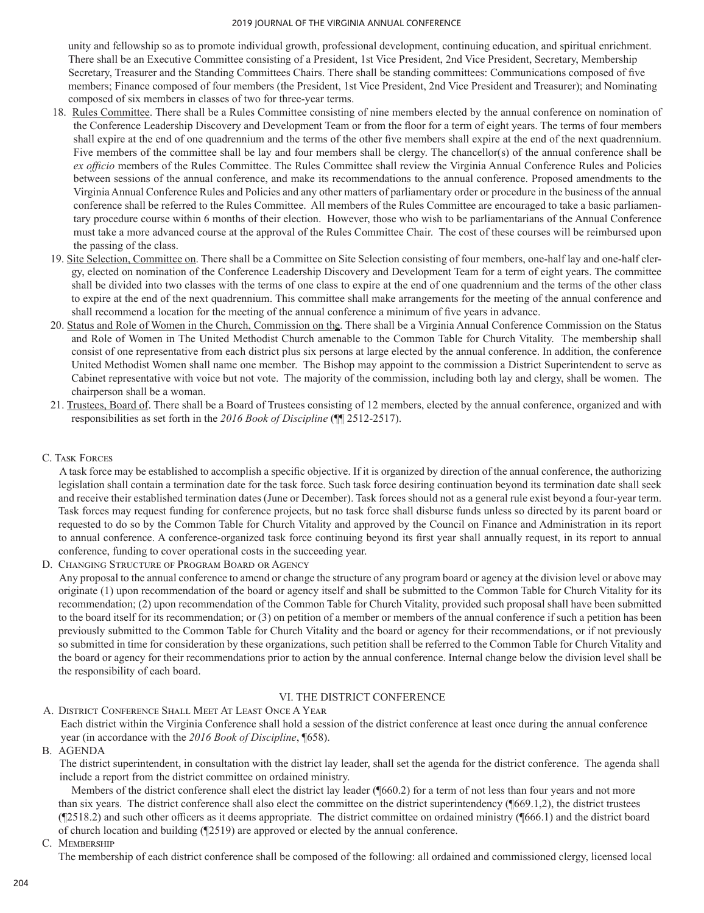unity and fellowship so as to promote individual growth, professional development, continuing education, and spiritual enrichment. There shall be an Executive Committee consisting of a President, 1st Vice President, 2nd Vice President, Secretary, Membership Secretary, Treasurer and the Standing Committees Chairs. There shall be standing committees: Communications composed of five members; Finance composed of four members (the President, 1st Vice President, 2nd Vice President and Treasurer); and Nominating composed of six members in classes of two for three-year terms.

- 18. Rules Committee. There shall be a Rules Committee consisting of nine members elected by the annual conference on nomination of the Conference Leadership Discovery and Development Team or from the floor for a term of eight years. The terms of four members shall expire at the end of one quadrennium and the terms of the other five members shall expire at the end of the next quadrennium. Five members of the committee shall be lay and four members shall be clergy. The chancellor(s) of the annual conference shall be *ex officio* members of the Rules Committee. The Rules Committee shall review the Virginia Annual Conference Rules and Policies between sessions of the annual conference, and make its recommendations to the annual conference. Proposed amendments to the Virginia Annual Conference Rules and Policies and any other matters of parliamentary order or procedure in the business of the annual conference shall be referred to the Rules Committee. All members of the Rules Committee are encouraged to take a basic parliamentary procedure course within 6 months of their election. However, those who wish to be parliamentarians of the Annual Conference must take a more advanced course at the approval of the Rules Committee Chair. The cost of these courses will be reimbursed upon the passing of the class.
- 19. Site Selection, Committee on. There shall be a Committee on Site Selection consisting of four members, one‑half lay and one‑half clergy, elected on nomination of the Conference Leadership Discovery and Development Team for a term of eight years. The committee shall be divided into two classes with the terms of one class to expire at the end of one quadrennium and the terms of the other class to expire at the end of the next quadrennium. This committee shall make arrangements for the meeting of the annual conference and shall recommend a location for the meeting of the annual conference a minimum of five years in advance.
- 20. Status and Role of Women in the Church, Commission on the. There shall be a Virginia Annual Conference Commission on the Status and Role of Women in The United Methodist Church amenable to the Common Table for Church Vitality. The membership shall consist of one representative from each district plus six persons at large elected by the annual conference. In addition, the conference United Methodist Women shall name one member. The Bishop may appoint to the commission a District Superintendent to serve as Cabinet representative with voice but not vote. The majority of the commission, including both lay and clergy, shall be women. The chairperson shall be a woman.
- 21. Trustees, Board of. There shall be a Board of Trustees consisting of 12 members, elected by the annual conference, organized and with responsibilities as set forth in the *2016 Book of Discipline* (¶¶ 2512‑2517).
- C. Task Forces

A task force may be established to accomplish a specific objective. If it is organized by direction of the annual conference, the authorizing legislation shall contain a termination date for the task force. Such task force desiring continuation beyond its termination date shall seek and receive their established termination dates (June or December). Task forces should not as a general rule exist beyond a four-year term. Task forces may request funding for conference projects, but no task force shall disburse funds unless so directed by its parent board or requested to do so by the Common Table for Church Vitality and approved by the Council on Finance and Administration in its report to annual conference. A conference-organized task force continuing beyond its first year shall annually request, in its report to annual conference, funding to cover operational costs in the succeeding year.

D. CHANGING STRUCTURE OF PROGRAM BOARD OR AGENCY

Any proposal to the annual conference to amend or change the structure of any program board or agency at the division level or above may originate (1) upon recommendation of the board or agency itself and shall be submitted to the Common Table for Church Vitality for its recommendation; (2) upon recommendation of the Common Table for Church Vitality, provided such proposal shall have been submitted to the board itself for its recommendation; or (3) on petition of a member or members of the annual conference if such a petition has been previously submitted to the Common Table for Church Vitality and the board or agency for their recommendations, or if not previously so submitted in time for consideration by these organizations, such petition shall be referred to the Common Table for Church Vitality and the board or agency for their recommendations prior to action by the annual conference. Internal change below the division level shall be the responsibility of each board.

## VI. THE DISTRICT CONFERENCE

## A. DISTRICT CONFERENCE SHALL MEET AT LEAST ONCE A YEAR Each district within the Virginia Conference shall hold a session of the district conference at least once during the annual conference year (in accordance with the *2016 Book of Discipline*, ¶658).

B. AGENDA

The district superintendent, in consultation with the district lay leader, shall set the agenda for the district conference. The agenda shall include a report from the district committee on ordained ministry.

Members of the district conference shall elect the district lay leader (¶660.2) for a term of not less than four years and not more than six years. The district conference shall also elect the committee on the district superintendency (¶669.1,2), the district trustees (¶2518.2) and such other officers as it deems appropriate. The district committee on ordained ministry (¶666.1) and the district board of church location and building (¶2519) are approved or elected by the annual conference.

C. MEMBERSHIP

The membership of each district conference shall be composed of the following: all ordained and commissioned clergy, licensed local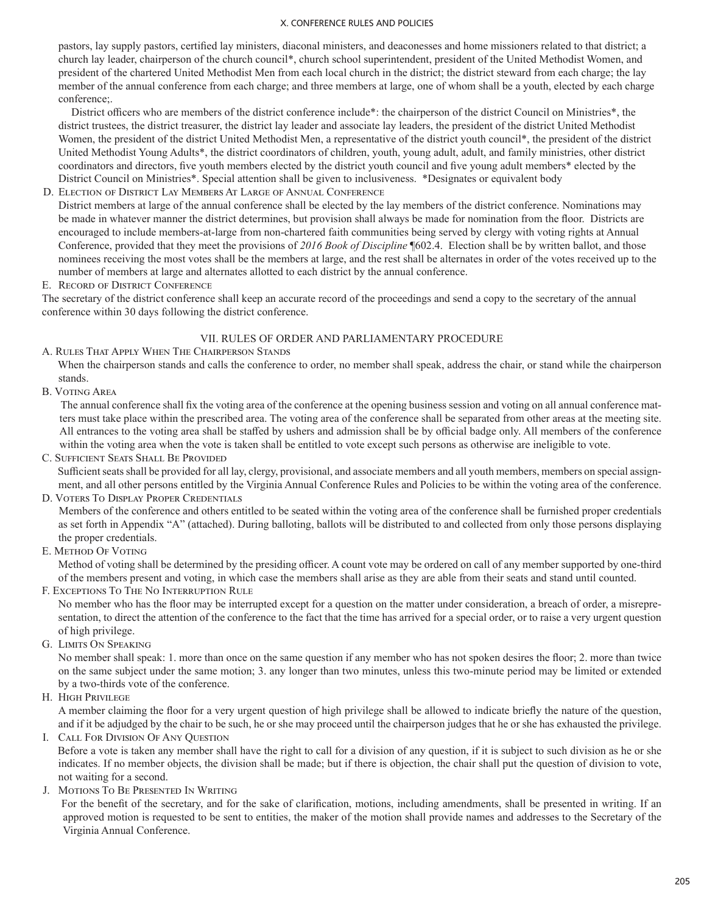pastors, lay supply pastors, certified lay ministers, diaconal ministers, and deaconesses and home missioners related to that district; a church lay leader, chairperson of the church council\*, church school superintendent, president of the United Methodist Women, and president of the chartered United Methodist Men from each local church in the district; the district steward from each charge; the lay member of the annual conference from each charge; and three members at large, one of whom shall be a youth, elected by each charge conference;.

 District officers who are members of the district conference include\*: the chairperson of the district Council on Ministries\*, the district trustees, the district treasurer, the district lay leader and associate lay leaders, the president of the district United Methodist Women, the president of the district United Methodist Men, a representative of the district youth council\*, the president of the district United Methodist Young Adults\*, the district coordinators of children, youth, young adult, adult, and family ministries, other district coordinators and directors, five youth members elected by the district youth council and five young adult members\* elected by the District Council on Ministries\*. Special attention shall be given to inclusiveness. \*Designates or equivalent body

D. ELECTION OF DISTRICT LAY MEMBERS AT LARGE OF ANNUAL CONFERENCE

District members at large of the annual conference shall be elected by the lay members of the district conference. Nominations may be made in whatever manner the district determines, but provision shall always be made for nomination from the floor. Districts are encouraged to include members-at-large from non-chartered faith communities being served by clergy with voting rights at Annual Conference, provided that they meet the provisions of *2016 Book of Discipline* ¶602.4. Election shall be by written ballot, and those nominees receiving the most votes shall be the members at large, and the rest shall be alternates in order of the votes received up to the number of members at large and alternates allotted to each district by the annual conference.

### E. RECORD OF DISTRICT CONFERENCE

The secretary of the district conference shall keep an accurate record of the proceedings and send a copy to the secretary of the annual conference within 30 days following the district conference.

### VII. RULES OF ORDER AND PARLIAMENTARY PROCEDURE

A. Rules That Apply When The Chairperson Stands

When the chairperson stands and calls the conference to order, no member shall speak, address the chair, or stand while the chairperson stands.

B. Voting Area

The annual conference shall fix the voting area of the conference at the opening business session and voting on all annual conference matters must take place within the prescribed area. The voting area of the conference shall be separated from other areas at the meeting site. All entrances to the voting area shall be staffed by ushers and admission shall be by official badge only. All members of the conference within the voting area when the vote is taken shall be entitled to vote except such persons as otherwise are ineligible to vote.

C. Sufficient Seats Shall Be Provided

Sufficient seats shall be provided for all lay, clergy, provisional, and associate members and all youth members, members on special assignment, and all other persons entitled by the Virginia Annual Conference Rules and Policies to be within the voting area of the conference.

D. Voters To Display Proper Credentials

Members of the conference and others entitled to be seated within the voting area of the conference shall be furnished proper credentials as set forth in Appendix "A" (attached). During balloting, ballots will be distributed to and collected from only those persons displaying the proper credentials.

E. Method Of Voting

Method of voting shall be determined by the presiding officer. A count vote may be ordered on call of any member supported by one‑third of the members present and voting, in which case the members shall arise as they are able from their seats and stand until counted.

F. Exceptions To The No Interruption Rule

No member who has the floor may be interrupted except for a question on the matter under consideration, a breach of order, a misrepresentation, to direct the attention of the conference to the fact that the time has arrived for a special order, or to raise a very urgent question of high privilege.

G. Limits On Speaking

No member shall speak: 1. more than once on the same question if any member who has not spoken desires the floor; 2. more than twice on the same subject under the same motion; 3. any longer than two minutes, unless this two-minute period may be limited or extended by a two-thirds vote of the conference.

H. High Privilege

A member claiming the floor for a very urgent question of high privilege shall be allowed to indicate briefly the nature of the question, and if it be adjudged by the chair to be such, he or she may proceed until the chairperson judges that he or she has exhausted the privilege.

I. Call For Division Of Any Question

Before a vote is taken any member shall have the right to call for a division of any question, if it is subject to such division as he or she indicates. If no member objects, the division shall be made; but if there is objection, the chair shall put the question of division to vote, not waiting for a second.

J. Motions To Be Presented In Writing

For the benefit of the secretary, and for the sake of clarification, motions, including amendments, shall be presented in writing. If an approved motion is requested to be sent to entities, the maker of the motion shall provide names and addresses to the Secretary of the Virginia Annual Conference.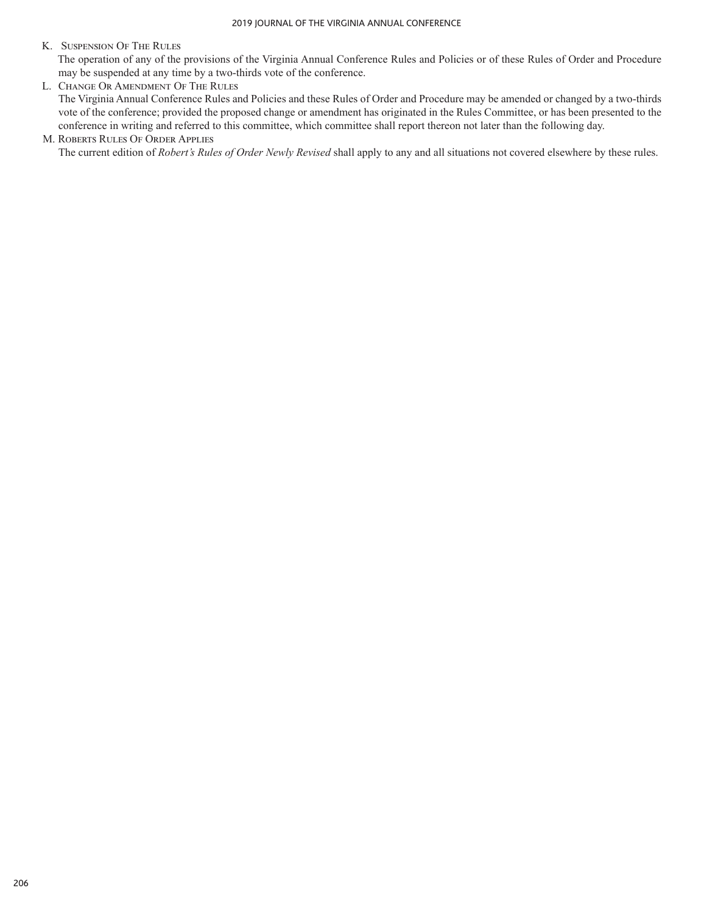## K. Suspension Of The Rules

The operation of any of the provisions of the Virginia Annual Conference Rules and Policies or of these Rules of Order and Procedure may be suspended at any time by a two-thirds vote of the conference.

L. Change Or Amendment Of The Rules The Virginia Annual Conference Rules and Policies and these Rules of Order and Procedure may be amended or changed by a two-thirds vote of the conference; provided the proposed change or amendment has originated in the Rules Committee, or has been presented to the conference in writing and referred to this committee, which committee shall report thereon not later than the following day.

### M. Roberts Rules Of Order Applies

The current edition of *Robert's Rules of Order Newly Revised* shall apply to any and all situations not covered elsewhere by these rules.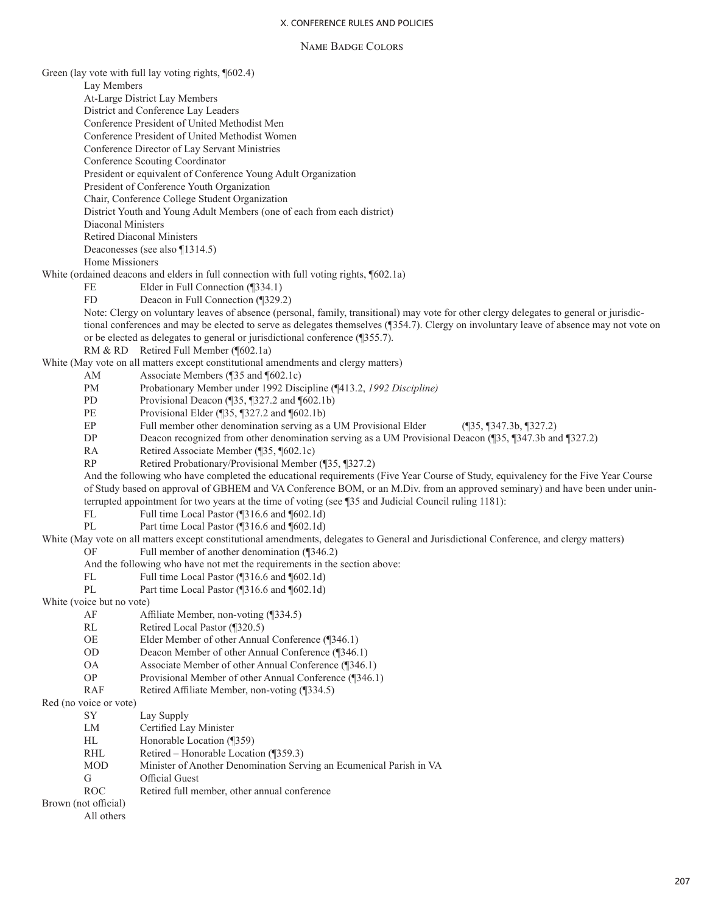#### Name Badge Colors

Green (lay vote with full lay voting rights, ¶602.4)

Lay Members

At-Large District Lay Members District and Conference Lay Leaders

Conference President of United Methodist Men

Conference President of United Methodist Women

Conference Director of Lay Servant Ministries

Conference Scouting Coordinator

President or equivalent of Conference Young Adult Organization

President of Conference Youth Organization

Chair, Conference College Student Organization

District Youth and Young Adult Members (one of each from each district)

Diaconal Ministers

Retired Diaconal Ministers

Deaconesses (see also ¶1314.5)

Home Missioners

White (ordained deacons and elders in full connection with full voting rights, ¶602.1a)

FE Elder in Full Connection (¶334.1)<br>FD Deacon in Full Connection (¶329.

Deacon in Full Connection (¶329.2)

Note: Clergy on voluntary leaves of absence (personal, family, transitional) may vote for other clergy delegates to general or jurisdictional conferences and may be elected to serve as delegates themselves (¶354.7). Clergy on involuntary leave of absence may not vote on or be elected as delegates to general or jurisdictional conference (¶355.7).

RM & RD Retired Full Member (¶602.1a)

White (May vote on all matters except constitutional amendments and clergy matters)

AM Associate Members (¶35 and ¶602.1c)

PM Probationary Member under 1992 Discipline (¶413.2, *1992 Discipline)*

PD Provisional Deacon (¶35, ¶327.2 and ¶602.1b)

PE Provisional Elder (¶35, ¶327.2 and ¶602.1b)

EP Full member other denomination serving as a UM Provisional Elder (¶35, ¶347.3b, ¶327.2)

DP Deacon recognized from other denomination serving as a UM Provisional Deacon (¶35, ¶347.3b and ¶327.2)

RA Retired Associate Member (¶35, ¶602.1c)

RP Retired Probationary/Provisional Member (¶35, ¶327.2)

And the following who have completed the educational requirements (Five Year Course of Study, equivalency for the Five Year Course of Study based on approval of GBHEM and VA Conference BOM, or an M.Div. from an approved seminary) and have been under uninterrupted appointment for two years at the time of voting (see ¶35 and Judicial Council ruling 1181):

FL Full time Local Pastor (¶316.6 and ¶602.1d)

PL Part time Local Pastor (¶316.6 and ¶602.1d)

White (May vote on all matters except constitutional amendments, delegates to General and Jurisdictional Conference, and clergy matters)

OF Full member of another denomination (¶346.2)

And the following who have not met the requirements in the section above:

- FL Full time Local Pastor (¶316.6 and ¶602.1d)
- PL Part time Local Pastor (¶316.6 and ¶602.1d)

White (voice but no vote)

- AF Affiliate Member, non-voting (¶334.5)
- RL Retired Local Pastor (¶320.5)

OE Elder Member of other Annual Conference (¶346.1)

- OD Deacon Member of other Annual Conference (¶346.1)
- OA Associate Member of other Annual Conference (¶346.1)
- OP Provisional Member of other Annual Conference (¶346.1)
- RAF Retired Affiliate Member, non-voting (¶334.5)

Red (no voice or vote)

SY Lay Supply

- LM Certified Lay Minister
- HL Honorable Location (¶359)
- RHL Retired Honorable Location (¶359.3)
- MOD Minister of Another Denomination Serving an Ecumenical Parish in VA
- G Official Guest
- ROC Retired full member, other annual conference

Brown (not official)

All others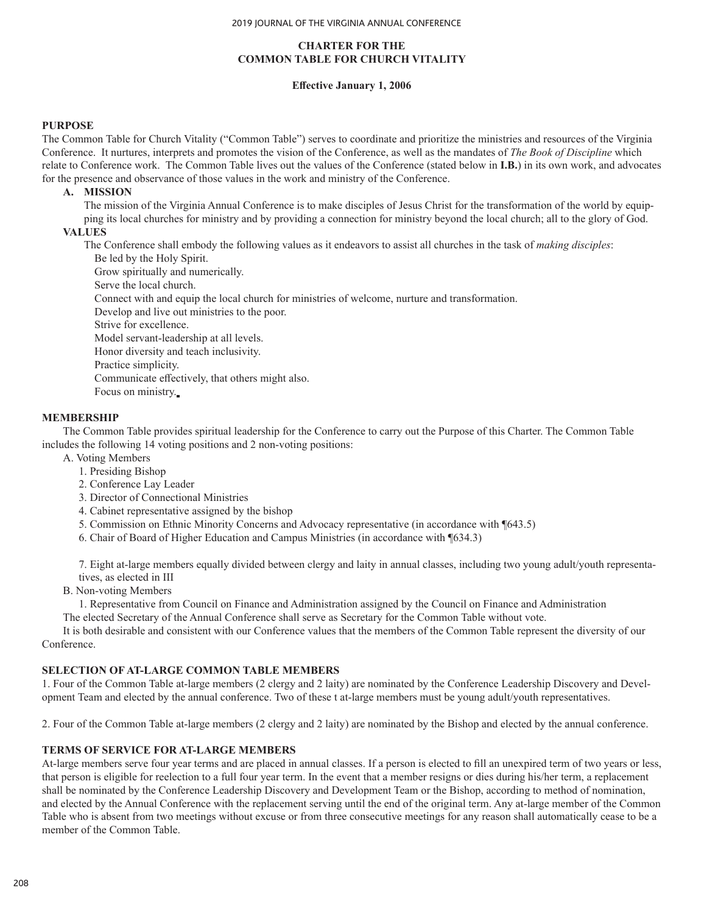## **CHARTER FOR THE COMMON TABLE FOR CHURCH VITALITY**

#### **Effective January 1, 2006**

#### **PURPOSE**

The Common Table for Church Vitality ("Common Table") serves to coordinate and prioritize the ministries and resources of the Virginia Conference. It nurtures, interprets and promotes the vision of the Conference, as well as the mandates of *The Book of Discipline* which relate to Conference work. The Common Table lives out the values of the Conference (stated below in **I.B.**) in its own work, and advocates for the presence and observance of those values in the work and ministry of the Conference.

#### **A. MISSION**

The mission of the Virginia Annual Conference is to make disciples of Jesus Christ for the transformation of the world by equipping its local churches for ministry and by providing a connection for ministry beyond the local church; all to the glory of God.

#### **VALUES**

The Conference shall embody the following values as it endeavors to assist all churches in the task of *making disciples*:

Be led by the Holy Spirit.

Grow spiritually and numerically.

Serve the local church.

Connect with and equip the local church for ministries of welcome, nurture and transformation.

Develop and live out ministries to the poor.

Strive for excellence.

Model servant-leadership at all levels.

Honor diversity and teach inclusivity.

Practice simplicity.

Communicate effectively, that others might also.

Focus on ministry.

#### **MEMBERSHIP**

The Common Table provides spiritual leadership for the Conference to carry out the Purpose of this Charter. The Common Table includes the following 14 voting positions and 2 non-voting positions:

A. Voting Members

- 1. Presiding Bishop
- 2. Conference Lay Leader
- 3. Director of Connectional Ministries
- 4. Cabinet representative assigned by the bishop
- 5. Commission on Ethnic Minority Concerns and Advocacy representative (in accordance with ¶643.5)
- 6. Chair of Board of Higher Education and Campus Ministries (in accordance with ¶634.3)

7. Eight at-large members equally divided between clergy and laity in annual classes, including two young adult/youth representatives, as elected in III

B. Non-voting Members

1. Representative from Council on Finance and Administration assigned by the Council on Finance and Administration The elected Secretary of the Annual Conference shall serve as Secretary for the Common Table without vote.

It is both desirable and consistent with our Conference values that the members of the Common Table represent the diversity of our Conference.

### **SELECTION OF AT-LARGE COMMON TABLE MEMBERS**

1. Four of the Common Table at-large members (2 clergy and 2 laity) are nominated by the Conference Leadership Discovery and Development Team and elected by the annual conference. Two of these t at-large members must be young adult/youth representatives.

2. Four of the Common Table at-large members (2 clergy and 2 laity) are nominated by the Bishop and elected by the annual conference.

### **TERMS OF SERVICE FOR AT-LARGE MEMBERS**

At-large members serve four year terms and are placed in annual classes. If a person is elected to fill an unexpired term of two years or less, that person is eligible for reelection to a full four year term. In the event that a member resigns or dies during his/her term, a replacement shall be nominated by the Conference Leadership Discovery and Development Team or the Bishop, according to method of nomination, and elected by the Annual Conference with the replacement serving until the end of the original term. Any at-large member of the Common Table who is absent from two meetings without excuse or from three consecutive meetings for any reason shall automatically cease to be a member of the Common Table.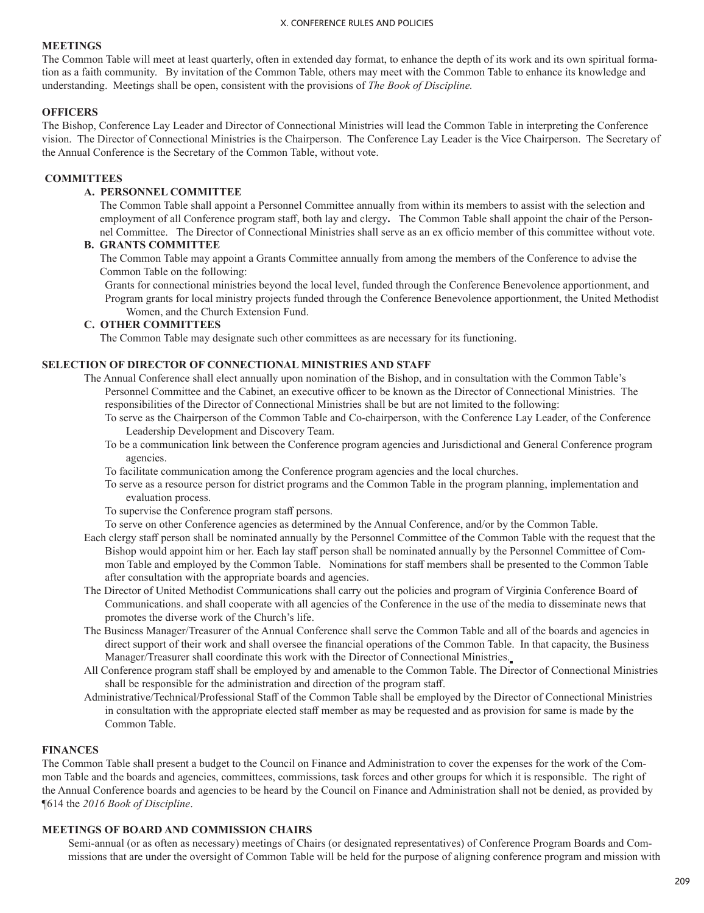#### **MEETINGS**

The Common Table will meet at least quarterly, often in extended day format, to enhance the depth of its work and its own spiritual formation as a faith community. By invitation of the Common Table, others may meet with the Common Table to enhance its knowledge and understanding. Meetings shall be open, consistent with the provisions of *The Book of Discipline.* 

#### **OFFICERS**

The Bishop, Conference Lay Leader and Director of Connectional Ministries will lead the Common Table in interpreting the Conference vision. The Director of Connectional Ministries is the Chairperson. The Conference Lay Leader is the Vice Chairperson. The Secretary of the Annual Conference is the Secretary of the Common Table, without vote.

#### **COMMITTEES**

### **A. PERSONNEL COMMITTEE**

The Common Table shall appoint a Personnel Committee annually from within its members to assist with the selection and employment of all Conference program staff, both lay and clergy**.** The Common Table shall appoint the chair of the Personnel Committee. The Director of Connectional Ministries shall serve as an ex officio member of this committee without vote.

## **B. GRANTS COMMITTEE**

The Common Table may appoint a Grants Committee annually from among the members of the Conference to advise the Common Table on the following:

Grants for connectional ministries beyond the local level, funded through the Conference Benevolence apportionment, and Program grants for local ministry projects funded through the Conference Benevolence apportionment, the United Methodist Women, and the Church Extension Fund.

#### **C. OTHER COMMITTEES**

The Common Table may designate such other committees as are necessary for its functioning.

#### **SELECTION OF DIRECTOR OF CONNECTIONAL MINISTRIES AND STAFF**

- The Annual Conference shall elect annually upon nomination of the Bishop, and in consultation with the Common Table's Personnel Committee and the Cabinet, an executive officer to be known as the Director of Connectional Ministries. The responsibilities of the Director of Connectional Ministries shall be but are not limited to the following:
	- To serve as the Chairperson of the Common Table and Co-chairperson, with the Conference Lay Leader, of the Conference Leadership Development and Discovery Team.
	- To be a communication link between the Conference program agencies and Jurisdictional and General Conference program agencies.
	- To facilitate communication among the Conference program agencies and the local churches.
	- To serve as a resource person for district programs and the Common Table in the program planning, implementation and evaluation process.
	- To supervise the Conference program staff persons.
	- To serve on other Conference agencies as determined by the Annual Conference, and/or by the Common Table.
- Each clergy staff person shall be nominated annually by the Personnel Committee of the Common Table with the request that the Bishop would appoint him or her. Each lay staff person shall be nominated annually by the Personnel Committee of Common Table and employed by the Common Table.Nominations for staff members shall be presented to the Common Table after consultation with the appropriate boards and agencies.
- The Director of United Methodist Communications shall carry out the policies and program of Virginia Conference Board of Communications. and shall cooperate with all agencies of the Conference in the use of the media to disseminate news that promotes the diverse work of the Church's life.
- The Business Manager/Treasurer of the Annual Conference shall serve the Common Table and all of the boards and agencies in direct support of their work and shall oversee the financial operations of the Common Table. In that capacity, the Business Manager/Treasurer shall coordinate this work with the Director of Connectional Ministries.
- All Conference program staff shall be employed by and amenable to the Common Table. The Director of Connectional Ministries shall be responsible for the administration and direction of the program staff.
- Administrative/Technical/Professional Staff of the Common Table shall be employed by the Director of Connectional Ministries in consultation with the appropriate elected staff member as may be requested and as provision for same is made by the Common Table.

## **FINANCES**

The Common Table shall present a budget to the Council on Finance and Administration to cover the expenses for the work of the Common Table and the boards and agencies, committees, commissions, task forces and other groups for which it is responsible. The right of the Annual Conference boards and agencies to be heard by the Council on Finance and Administration shall not be denied, as provided by ¶614 the *2016 Book of Discipline*.

### **MEETINGS OF BOARD AND COMMISSION CHAIRS**

Semi-annual (or as often as necessary) meetings of Chairs (or designated representatives) of Conference Program Boards and Commissions that are under the oversight of Common Table will be held for the purpose of aligning conference program and mission with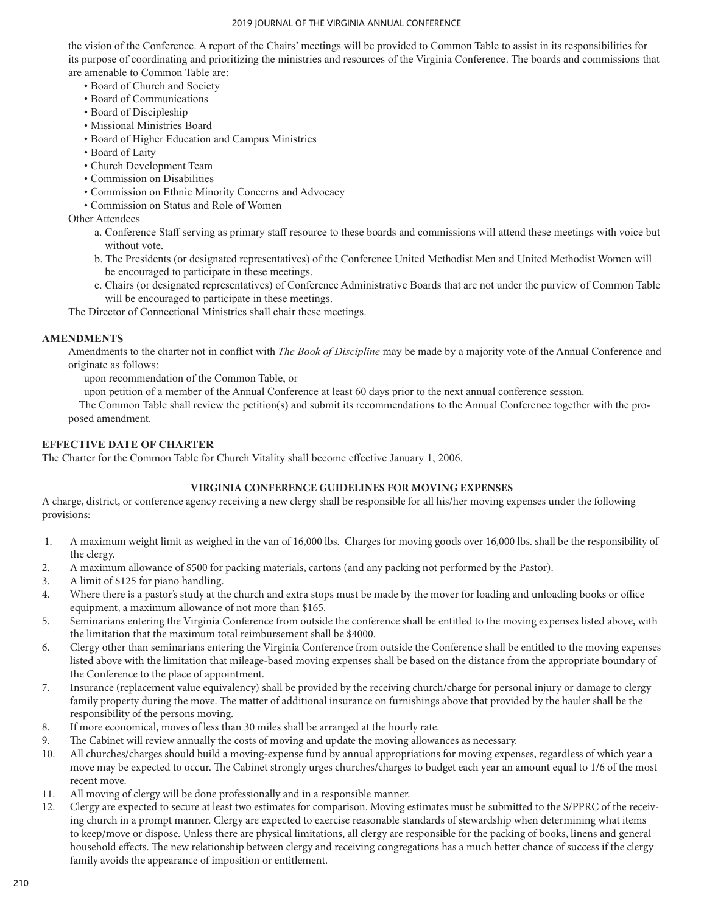the vision of the Conference. A report of the Chairs' meetings will be provided to Common Table to assist in its responsibilities for its purpose of coordinating and prioritizing the ministries and resources of the Virginia Conference. The boards and commissions that are amenable to Common Table are:

- Board of Church and Society
- Board of Communications
- Board of Discipleship
- Missional Ministries Board
- Board of Higher Education and Campus Ministries
- Board of Laity
- Church Development Team
- Commission on Disabilities
- Commission on Ethnic Minority Concerns and Advocacy
- Commission on Status and Role of Women

Other Attendees

- a. Conference Staff serving as primary staff resource to these boards and commissions will attend these meetings with voice but without vote.
- b. The Presidents (or designated representatives) of the Conference United Methodist Men and United Methodist Women will be encouraged to participate in these meetings.
- c. Chairs (or designated representatives) of Conference Administrative Boards that are not under the purview of Common Table will be encouraged to participate in these meetings.

The Director of Connectional Ministries shall chair these meetings.

## **AMENDMENTS**

Amendments to the charter not in conflict with *The Book of Discipline* may be made by a majority vote of the Annual Conference and originate as follows:

upon recommendation of the Common Table, or

upon petition of a member of the Annual Conference at least 60 days prior to the next annual conference session.

The Common Table shall review the petition(s) and submit its recommendations to the Annual Conference together with the proposed amendment.

## **EFFECTIVE DATE OF CHARTER**

The Charter for the Common Table for Church Vitality shall become effective January 1, 2006.

## **VIRGINIA CONFERENCE GUIDELINES FOR MOVING EXPENSES**

A charge, district, or conference agency receiving a new clergy shall be responsible for all his/her moving expenses under the following provisions:

- 1. A maximum weight limit as weighed in the van of 16,000 lbs. Charges for moving goods over 16,000 lbs. shall be the responsibility of the clergy.
- 2. A maximum allowance of \$500 for packing materials, cartons (and any packing not performed by the Pastor).
- 3. A limit of \$125 for piano handling.
- 4. Where there is a pastor's study at the church and extra stops must be made by the mover for loading and unloading books or office equipment, a maximum allowance of not more than \$165.
- 5. Seminarians entering the Virginia Conference from outside the conference shall be entitled to the moving expenses listed above, with the limitation that the maximum total reimbursement shall be \$4000.
- 6. Clergy other than seminarians entering the Virginia Conference from outside the Conference shall be entitled to the moving expenses listed above with the limitation that mileage-based moving expenses shall be based on the distance from the appropriate boundary of the Conference to the place of appointment.
- 7. Insurance (replacement value equivalency) shall be provided by the receiving church/charge for personal injury or damage to clergy family property during the move. The matter of additional insurance on furnishings above that provided by the hauler shall be the responsibility of the persons moving.
- 8. If more economical, moves of less than 30 miles shall be arranged at the hourly rate.
- 9. The Cabinet will review annually the costs of moving and update the moving allowances as necessary.
- 10. All churches/charges should build a moving-expense fund by annual appropriations for moving expenses, regardless of which year a move may be expected to occur. The Cabinet strongly urges churches/charges to budget each year an amount equal to 1/6 of the most recent move.
- 11. All moving of clergy will be done professionally and in a responsible manner.
- 12. Clergy are expected to secure at least two estimates for comparison. Moving estimates must be submitted to the S/PPRC of the receiving church in a prompt manner. Clergy are expected to exercise reasonable standards of stewardship when determining what items to keep/move or dispose. Unless there are physical limitations, all clergy are responsible for the packing of books, linens and general household effects. The new relationship between clergy and receiving congregations has a much better chance of success if the clergy family avoids the appearance of imposition or entitlement.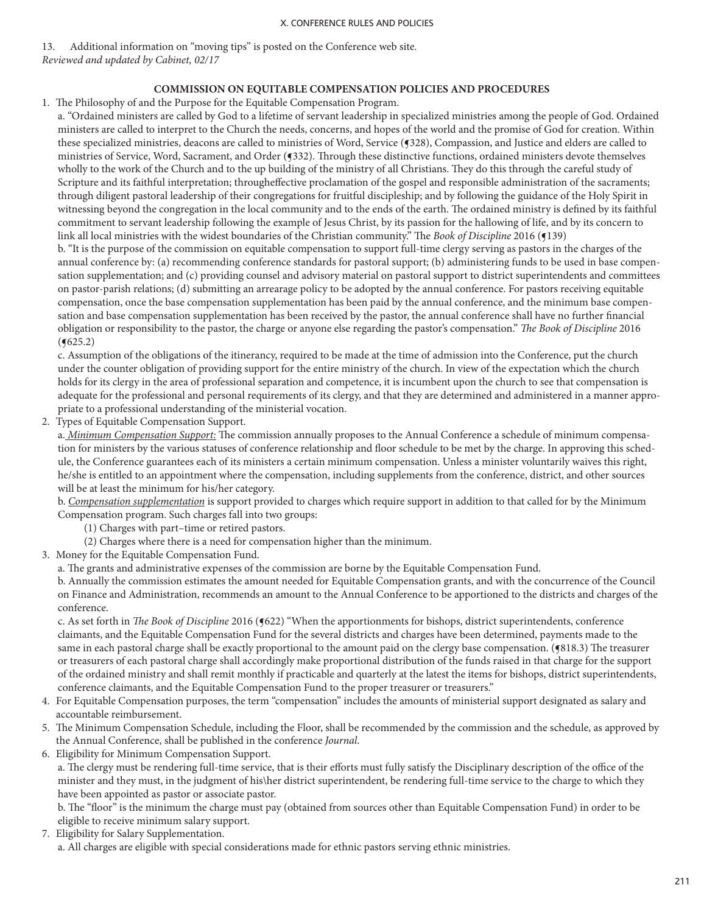13. Additional information on "moving tips" is posted on the Conference web site. *Reviewed and updated by Cabinet, 02/17*

#### **COMMISSION ON EQUITABLE COMPENSATION POLICIES AND PROCEDURES**

1. The Philosophy of and the Purpose for the Equitable Compensation Program.

a. "Ordained ministers are called by God to a lifetime of servant leadership in specialized ministries among the people of God. Ordained ministers are called to interpret to the Church the needs, concerns, and hopes of the world and the promise of God for creation. Within these specialized ministries, deacons are called to ministries of Word, Service (¶328), Compassion, and Justice and elders are called to ministries of Service, Word, Sacrament, and Order (¶332). Through these distinctive functions, ordained ministers devote themselves wholly to the work of the Church and to the up building of the ministry of all Christians. They do this through the careful study of Scripture and its faithful interpretation; througheffective proclamation of the gospel and responsible administration of the sacraments; through diligent pastoral leadership of their congregations for fruitful discipleship; and by following the guidance of the Holy Spirit in witnessing beyond the congregation in the local community and to the ends of the earth. The ordained ministry is defined by its faithful commitment to servant leadership following the example of Jesus Christ, by its passion for the hallowing of life, and by its concern to link all local ministries with the widest boundaries of the Christian community." The *Book of Discipline* 2016 (¶139)

b. "It is the purpose of the commission on equitable compensation to support full-time clergy serving as pastors in the charges of the annual conference by: (a) recommending conference standards for pastoral support; (b) administering funds to be used in base compensation supplementation; and (c) providing counsel and advisory material on pastoral support to district superintendents and committees on pastor-parish relations; (d) submitting an arrearage policy to be adopted by the annual conference. For pastors receiving equitable compensation, once the base compensation supplementation has been paid by the annual conference, and the minimum base compensation and base compensation supplementation has been received by the pastor, the annual conference shall have no further financial obligation or responsibility to the pastor, the charge or anyone else regarding the pastor's compensation." *The Book of Discipline* 2016  $($ **(** $625.2)$ )

c. Assumption of the obligations of the itinerancy, required to be made at the time of admission into the Conference, put the church under the counter obligation of providing support for the entire ministry of the church. In view of the expectation which the church holds for its clergy in the area of professional separation and competence, it is incumbent upon the church to see that compensation is adequate for the professional and personal requirements of its clergy, and that they are determined and administered in a manner appropriate to a professional understanding of the ministerial vocation.

2. Types of Equitable Compensation Support.

a. *Minimum Compensation Support:* The commission annually proposes to the Annual Conference a schedule of minimum compensation for ministers by the various statuses of conference relationship and floor schedule to be met by the charge. In approving this schedule, the Conference guarantees each of its ministers a certain minimum compensation. Unless a minister voluntarily waives this right, he/she is entitled to an appointment where the compensation, including supplements from the conference, district, and other sources will be at least the minimum for his/her category.

b. *Compensation supplementation* is support provided to charges which require support in addition to that called for by the Minimum Compensation program. Such charges fall into two groups:

(1) Charges with part–time or retired pastors.

- (2) Charges where there is a need for compensation higher than the minimum.
- 3. Money for the Equitable Compensation Fund.
	- a. The grants and administrative expenses of the commission are borne by the Equitable Compensation Fund.

b. Annually the commission estimates the amount needed for Equitable Compensation grants, and with the concurrence of the Council on Finance and Administration, recommends an amount to the Annual Conference to be apportioned to the districts and charges of the conference.

c. As set forth in *The Book of Discipline* 2016 (¶622) "When the apportionments for bishops, district superintendents, conference claimants, and the Equitable Compensation Fund for the several districts and charges have been determined, payments made to the same in each pastoral charge shall be exactly proportional to the amount paid on the clergy base compensation. ( $$818.3$ ) The treasurer or treasurers of each pastoral charge shall accordingly make proportional distribution of the funds raised in that charge for the support of the ordained ministry and shall remit monthly if practicable and quarterly at the latest the items for bishops, district superintendents, conference claimants, and the Equitable Compensation Fund to the proper treasurer or treasurers."

- 4. For Equitable Compensation purposes, the term "compensation" includes the amounts of ministerial support designated as salary and accountable reimbursement.
- 5. The Minimum Compensation Schedule, including the Floor, shall be recommended by the commission and the schedule, as approved by the Annual Conference, shall be published in the conference *Journal*.
- 6. Eligibility for Minimum Compensation Support.

a. The clergy must be rendering full-time service, that is their efforts must fully satisfy the Disciplinary description of the office of the minister and they must, in the judgment of his\her district superintendent, be rendering full-time service to the charge to which they have been appointed as pastor or associate pastor.

b. The "floor" is the minimum the charge must pay (obtained from sources other than Equitable Compensation Fund) in order to be eligible to receive minimum salary support.

7. Eligibility for Salary Supplementation.

a. All charges are eligible with special considerations made for ethnic pastors serving ethnic ministries.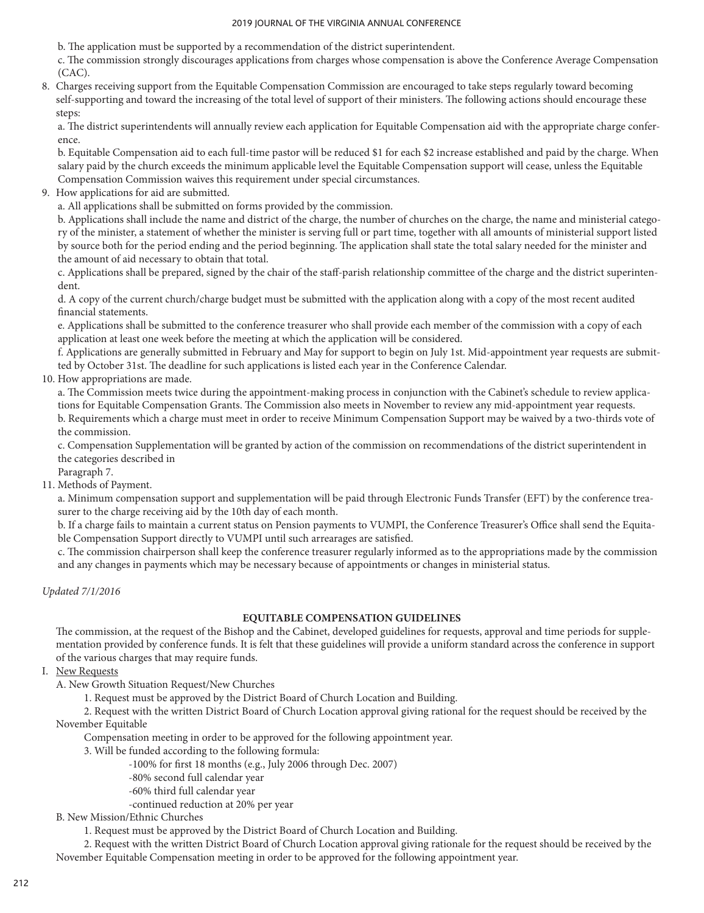b. The application must be supported by a recommendation of the district superintendent.

c. The commission strongly discourages applications from charges whose compensation is above the Conference Average Compensation (CAC).

8. Charges receiving support from the Equitable Compensation Commission are encouraged to take steps regularly toward becoming self-supporting and toward the increasing of the total level of support of their ministers. The following actions should encourage these steps:

a. The district superintendents will annually review each application for Equitable Compensation aid with the appropriate charge conference.

b. Equitable Compensation aid to each full-time pastor will be reduced \$1 for each \$2 increase established and paid by the charge. When salary paid by the church exceeds the minimum applicable level the Equitable Compensation support will cease, unless the Equitable Compensation Commission waives this requirement under special circumstances.

9. How applications for aid are submitted.

a. All applications shall be submitted on forms provided by the commission.

b. Applications shall include the name and district of the charge, the number of churches on the charge, the name and ministerial category of the minister, a statement of whether the minister is serving full or part time, together with all amounts of ministerial support listed by source both for the period ending and the period beginning. The application shall state the total salary needed for the minister and the amount of aid necessary to obtain that total.

c. Applications shall be prepared, signed by the chair of the staff-parish relationship committee of the charge and the district superintendent.

d. A copy of the current church/charge budget must be submitted with the application along with a copy of the most recent audited financial statements.

e. Applications shall be submitted to the conference treasurer who shall provide each member of the commission with a copy of each application at least one week before the meeting at which the application will be considered.

f. Applications are generally submitted in February and May for support to begin on July 1st. Mid-appointment year requests are submitted by October 31st. The deadline for such applications is listed each year in the Conference Calendar.

10. How appropriations are made.

a. The Commission meets twice during the appointment-making process in conjunction with the Cabinet's schedule to review applications for Equitable Compensation Grants. The Commission also meets in November to review any mid-appointment year requests. b. Requirements which a charge must meet in order to receive Minimum Compensation Support may be waived by a two-thirds vote of the commission.

c. Compensation Supplementation will be granted by action of the commission on recommendations of the district superintendent in the categories described in

Paragraph 7.

## 11. Methods of Payment.

a. Minimum compensation support and supplementation will be paid through Electronic Funds Transfer (EFT) by the conference treasurer to the charge receiving aid by the 10th day of each month.

b. If a charge fails to maintain a current status on Pension payments to VUMPI, the Conference Treasurer's Office shall send the Equitable Compensation Support directly to VUMPI until such arrearages are satisfied.

c. The commission chairperson shall keep the conference treasurer regularly informed as to the appropriations made by the commission and any changes in payments which may be necessary because of appointments or changes in ministerial status.

*Updated 7/1/2016*

## **EQUITABLE COMPENSATION GUIDELINES**

The commission, at the request of the Bishop and the Cabinet, developed guidelines for requests, approval and time periods for supplementation provided by conference funds. It is felt that these guidelines will provide a uniform standard across the conference in support of the various charges that may require funds.

I. New Requests

A. New Growth Situation Request/New Churches

1. Request must be approved by the District Board of Church Location and Building.

 2. Request with the written District Board of Church Location approval giving rational for the request should be received by the November Equitable

Compensation meeting in order to be approved for the following appointment year.

3. Will be funded according to the following formula:

- -100% for first 18 months (e.g., July 2006 through Dec. 2007)
- -80% second full calendar year
- -60% third full calendar year

-continued reduction at 20% per year

B. New Mission/Ethnic Churches

1. Request must be approved by the District Board of Church Location and Building.

 2. Request with the written District Board of Church Location approval giving rationale for the request should be received by the November Equitable Compensation meeting in order to be approved for the following appointment year.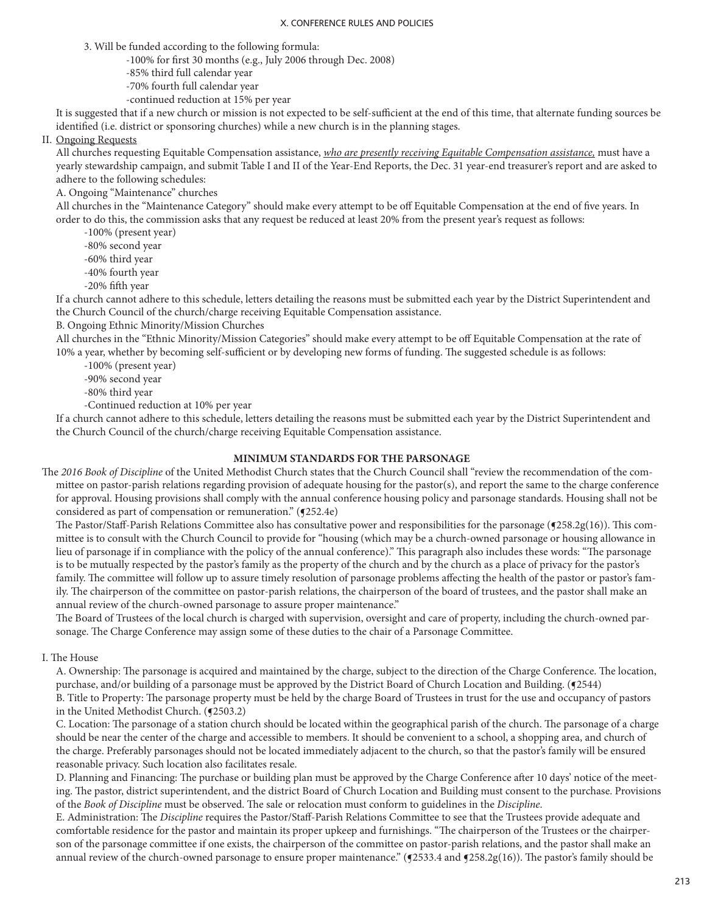3. Will be funded according to the following formula:

- -100% for first 30 months (e.g., July 2006 through Dec. 2008)
- -85% third full calendar year
- -70% fourth full calendar year
- -continued reduction at 15% per year

It is suggested that if a new church or mission is not expected to be self-sufficient at the end of this time, that alternate funding sources be identified (i.e. district or sponsoring churches) while a new church is in the planning stages.

II. Ongoing Requests

All churches requesting Equitable Compensation assistance, *who are presently receiving Equitable Compensation assistance,* must have a yearly stewardship campaign, and submit Table I and II of the Year-End Reports, the Dec. 31 year-end treasurer's report and are asked to adhere to the following schedules:

### A. Ongoing "Maintenance" churches

All churches in the "Maintenance Category" should make every attempt to be off Equitable Compensation at the end of five years. In order to do this, the commission asks that any request be reduced at least 20% from the present year's request as follows:

-100% (present year)

-80% second year

- -60% third year
- -40% fourth year
- -20% fifth year

If a church cannot adhere to this schedule, letters detailing the reasons must be submitted each year by the District Superintendent and the Church Council of the church/charge receiving Equitable Compensation assistance.

B. Ongoing Ethnic Minority/Mission Churches

All churches in the "Ethnic Minority/Mission Categories" should make every attempt to be off Equitable Compensation at the rate of 10% a year, whether by becoming self-sufficient or by developing new forms of funding. The suggested schedule is as follows:

-100% (present year)

-90% second year

-80% third year

-Continued reduction at 10% per year

If a church cannot adhere to this schedule, letters detailing the reasons must be submitted each year by the District Superintendent and the Church Council of the church/charge receiving Equitable Compensation assistance.

### **MINIMUM STANDARDS FOR THE PARSONAGE**

The *2016 Book of Discipline* of the United Methodist Church states that the Church Council shall "review the recommendation of the committee on pastor-parish relations regarding provision of adequate housing for the pastor(s), and report the same to the charge conference for approval. Housing provisions shall comply with the annual conference housing policy and parsonage standards. Housing shall not be considered as part of compensation or remuneration." ( $\sqrt{252.4e}$ )

The Pastor/Staff-Parish Relations Committee also has consultative power and responsibilities for the parsonage (¶258.2g(16)). This committee is to consult with the Church Council to provide for "housing (which may be a church-owned parsonage or housing allowance in lieu of parsonage if in compliance with the policy of the annual conference)." This paragraph also includes these words: "The parsonage is to be mutually respected by the pastor's family as the property of the church and by the church as a place of privacy for the pastor's family. The committee will follow up to assure timely resolution of parsonage problems affecting the health of the pastor or pastor's family. The chairperson of the committee on pastor-parish relations, the chairperson of the board of trustees, and the pastor shall make an annual review of the church-owned parsonage to assure proper maintenance."

The Board of Trustees of the local church is charged with supervision, oversight and care of property, including the church-owned parsonage. The Charge Conference may assign some of these duties to the chair of a Parsonage Committee.

I. The House

A. Ownership: The parsonage is acquired and maintained by the charge, subject to the direction of the Charge Conference. The location, purchase, and/or building of a parsonage must be approved by the District Board of Church Location and Building. (¶2544)

B. Title to Property: The parsonage property must be held by the charge Board of Trustees in trust for the use and occupancy of pastors in the United Methodist Church. (§2503.2)

C. Location: The parsonage of a station church should be located within the geographical parish of the church. The parsonage of a charge should be near the center of the charge and accessible to members. It should be convenient to a school, a shopping area, and church of the charge. Preferably parsonages should not be located immediately adjacent to the church, so that the pastor's family will be ensured reasonable privacy. Such location also facilitates resale.

D. Planning and Financing: The purchase or building plan must be approved by the Charge Conference after 10 days' notice of the meeting. The pastor, district superintendent, and the district Board of Church Location and Building must consent to the purchase. Provisions of the *Book of Discipline* must be observed. The sale or relocation must conform to guidelines in the *Discipline*.

E. Administration: The *Discipline* requires the Pastor/Staff-Parish Relations Committee to see that the Trustees provide adequate and comfortable residence for the pastor and maintain its proper upkeep and furnishings. "The chairperson of the Trustees or the chairperson of the parsonage committee if one exists, the chairperson of the committee on pastor-parish relations, and the pastor shall make an annual review of the church-owned parsonage to ensure proper maintenance." ( $q$ 2533.4 and  $q$ 258.2g(16)). The pastor's family should be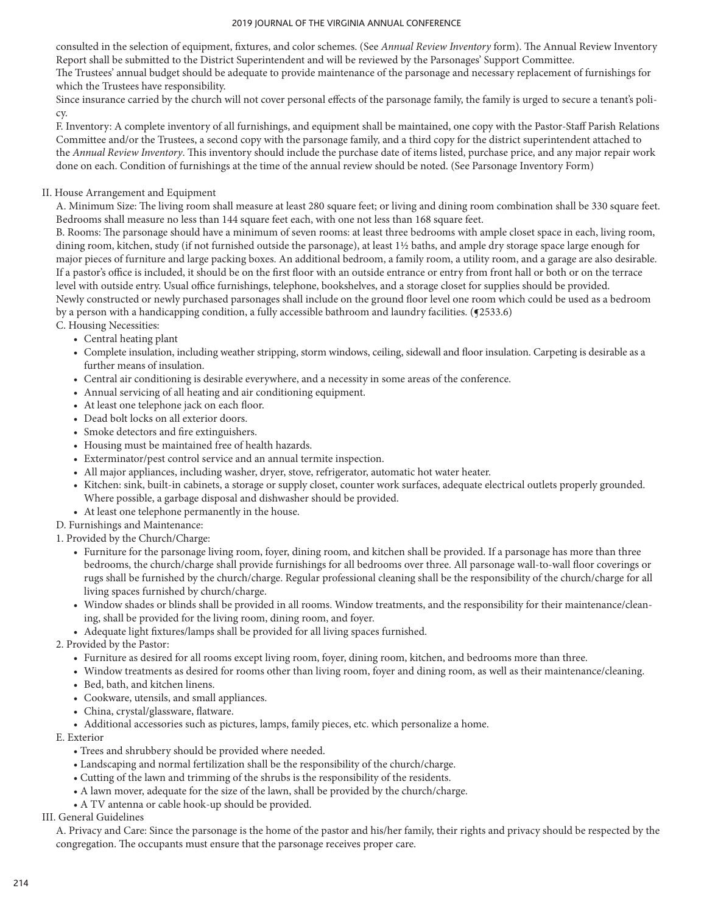consulted in the selection of equipment, fixtures, and color schemes. (See *Annual Review Inventory* form). The Annual Review Inventory Report shall be submitted to the District Superintendent and will be reviewed by the Parsonages' Support Committee.

The Trustees' annual budget should be adequate to provide maintenance of the parsonage and necessary replacement of furnishings for which the Trustees have responsibility.

Since insurance carried by the church will not cover personal effects of the parsonage family, the family is urged to secure a tenant's policy.

F. Inventory: A complete inventory of all furnishings, and equipment shall be maintained, one copy with the Pastor-Staff Parish Relations Committee and/or the Trustees, a second copy with the parsonage family, and a third copy for the district superintendent attached to the *Annual Review Inventory*. This inventory should include the purchase date of items listed, purchase price, and any major repair work done on each. Condition of furnishings at the time of the annual review should be noted. (See Parsonage Inventory Form)

## II. House Arrangement and Equipment

A. Minimum Size: The living room shall measure at least 280 square feet; or living and dining room combination shall be 330 square feet. Bedrooms shall measure no less than 144 square feet each, with one not less than 168 square feet.

B. Rooms: The parsonage should have a minimum of seven rooms: at least three bedrooms with ample closet space in each, living room, dining room, kitchen, study (if not furnished outside the parsonage), at least 1½ baths, and ample dry storage space large enough for major pieces of furniture and large packing boxes. An additional bedroom, a family room, a utility room, and a garage are also desirable. If a pastor's office is included, it should be on the first floor with an outside entrance or entry from front hall or both or on the terrace level with outside entry. Usual office furnishings, telephone, bookshelves, and a storage closet for supplies should be provided. Newly constructed or newly purchased parsonages shall include on the ground floor level one room which could be used as a bedroom by a person with a handicapping condition, a fully accessible bathroom and laundry facilities. (**f**2533.6) C. Housing Necessities:

- Central heating plant
- Complete insulation, including weather stripping, storm windows, ceiling, sidewall and floor insulation. Carpeting is desirable as a further means of insulation.
- Central air conditioning is desirable everywhere, and a necessity in some areas of the conference.
- Annual servicing of all heating and air conditioning equipment.
- At least one telephone jack on each floor.
- Dead bolt locks on all exterior doors.
- Smoke detectors and fire extinguishers.
- Housing must be maintained free of health hazards.
- Exterminator/pest control service and an annual termite inspection.
- All major appliances, including washer, dryer, stove, refrigerator, automatic hot water heater.
- Kitchen: sink, built-in cabinets, a storage or supply closet, counter work surfaces, adequate electrical outlets properly grounded. Where possible, a garbage disposal and dishwasher should be provided.
- At least one telephone permanently in the house.
- D. Furnishings and Maintenance:
- 1. Provided by the Church/Charge:
	- Furniture for the parsonage living room, foyer, dining room, and kitchen shall be provided. If a parsonage has more than three bedrooms, the church/charge shall provide furnishings for all bedrooms over three. All parsonage wall-to-wall floor coverings or rugs shall be furnished by the church/charge. Regular professional cleaning shall be the responsibility of the church/charge for all living spaces furnished by church/charge.
	- Window shades or blinds shall be provided in all rooms. Window treatments, and the responsibility for their maintenance/cleaning, shall be provided for the living room, dining room, and foyer.
	- Adequate light fixtures/lamps shall be provided for all living spaces furnished.
- 2. Provided by the Pastor:
	- Furniture as desired for all rooms except living room, foyer, dining room, kitchen, and bedrooms more than three.
	- Window treatments as desired for rooms other than living room, foyer and dining room, as well as their maintenance/cleaning.
	- Bed, bath, and kitchen linens.
	- Cookware, utensils, and small appliances.
	- China, crystal/glassware, flatware.
	- Additional accessories such as pictures, lamps, family pieces, etc. which personalize a home.
- E. Exterior
	- Trees and shrubbery should be provided where needed.
	- Landscaping and normal fertilization shall be the responsibility of the church/charge.
	- Cutting of the lawn and trimming of the shrubs is the responsibility of the residents.
	- A lawn mover, adequate for the size of the lawn, shall be provided by the church/charge.
	- A TV antenna or cable hook-up should be provided.

## III. General Guidelines

A. Privacy and Care: Since the parsonage is the home of the pastor and his/her family, their rights and privacy should be respected by the congregation. The occupants must ensure that the parsonage receives proper care.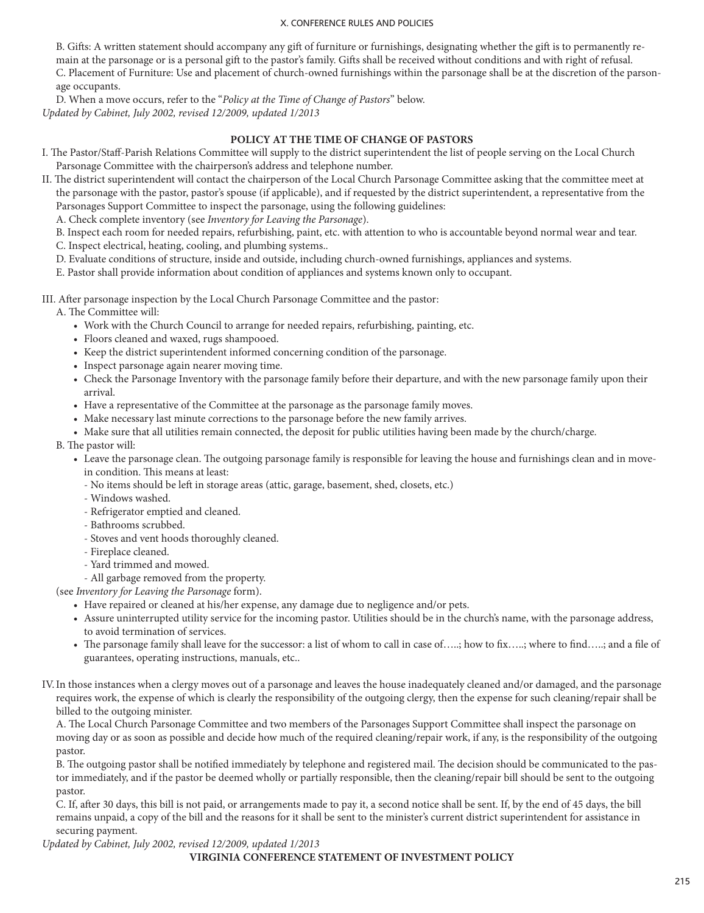B. Gifts: A written statement should accompany any gift of furniture or furnishings, designating whether the gift is to permanently remain at the parsonage or is a personal gift to the pastor's family. Gifts shall be received without conditions and with right of refusal. C. Placement of Furniture: Use and placement of church-owned furnishings within the parsonage shall be at the discretion of the parsonage occupants.

D. When a move occurs, refer to the "*Policy at the Time of Change of Pastors*" below. *Updated by Cabinet, July 2002, revised 12/2009, updated 1/2013*

### **POLICY AT THE TIME OF CHANGE OF PASTORS**

- I. The Pastor/Staff-Parish Relations Committee will supply to the district superintendent the list of people serving on the Local Church Parsonage Committee with the chairperson's address and telephone number.
- II. The district superintendent will contact the chairperson of the Local Church Parsonage Committee asking that the committee meet at the parsonage with the pastor, pastor's spouse (if applicable), and if requested by the district superintendent, a representative from the Parsonages Support Committee to inspect the parsonage, using the following guidelines:
	- A. Check complete inventory (see *Inventory for Leaving the Parsonage*).

B. Inspect each room for needed repairs, refurbishing, paint, etc. with attention to who is accountable beyond normal wear and tear.

- C. Inspect electrical, heating, cooling, and plumbing systems..
- D. Evaluate conditions of structure, inside and outside, including church-owned furnishings, appliances and systems.
- E. Pastor shall provide information about condition of appliances and systems known only to occupant.

III. After parsonage inspection by the Local Church Parsonage Committee and the pastor:

A. The Committee will:

- Work with the Church Council to arrange for needed repairs, refurbishing, painting, etc.
- Floors cleaned and waxed, rugs shampooed.
- Keep the district superintendent informed concerning condition of the parsonage.
- Inspect parsonage again nearer moving time.
- Check the Parsonage Inventory with the parsonage family before their departure, and with the new parsonage family upon their arrival.
- Have a representative of the Committee at the parsonage as the parsonage family moves.
- Make necessary last minute corrections to the parsonage before the new family arrives.
- Make sure that all utilities remain connected, the deposit for public utilities having been made by the church/charge.

B. The pastor will:

- Leave the parsonage clean. The outgoing parsonage family is responsible for leaving the house and furnishings clean and in movein condition. This means at least:
	- No items should be left in storage areas (attic, garage, basement, shed, closets, etc.)
	- Windows washed.
	- Refrigerator emptied and cleaned.
	- Bathrooms scrubbed.
	- Stoves and vent hoods thoroughly cleaned.
	- Fireplace cleaned.
	- Yard trimmed and mowed.
	- All garbage removed from the property.

(see *Inventory for Leaving the Parsonage* form).

- Have repaired or cleaned at his/her expense, any damage due to negligence and/or pets.
- Assure uninterrupted utility service for the incoming pastor. Utilities should be in the church's name, with the parsonage address, to avoid termination of services.
- The parsonage family shall leave for the successor: a list of whom to call in case of…..; how to fix…..; where to find…..; and a file of guarantees, operating instructions, manuals, etc..
- IV.In those instances when a clergy moves out of a parsonage and leaves the house inadequately cleaned and/or damaged, and the parsonage requires work, the expense of which is clearly the responsibility of the outgoing clergy, then the expense for such cleaning/repair shall be billed to the outgoing minister.

A. The Local Church Parsonage Committee and two members of the Parsonages Support Committee shall inspect the parsonage on moving day or as soon as possible and decide how much of the required cleaning/repair work, if any, is the responsibility of the outgoing pastor.

B. The outgoing pastor shall be notified immediately by telephone and registered mail. The decision should be communicated to the pastor immediately, and if the pastor be deemed wholly or partially responsible, then the cleaning/repair bill should be sent to the outgoing pastor.

C. If, after 30 days, this bill is not paid, or arrangements made to pay it, a second notice shall be sent. If, by the end of 45 days, the bill remains unpaid, a copy of the bill and the reasons for it shall be sent to the minister's current district superintendent for assistance in securing payment.

*Updated by Cabinet, July 2002, revised 12/2009, updated 1/2013*

**VIRGINIA CONFERENCE STATEMENT OF INVESTMENT POLICY**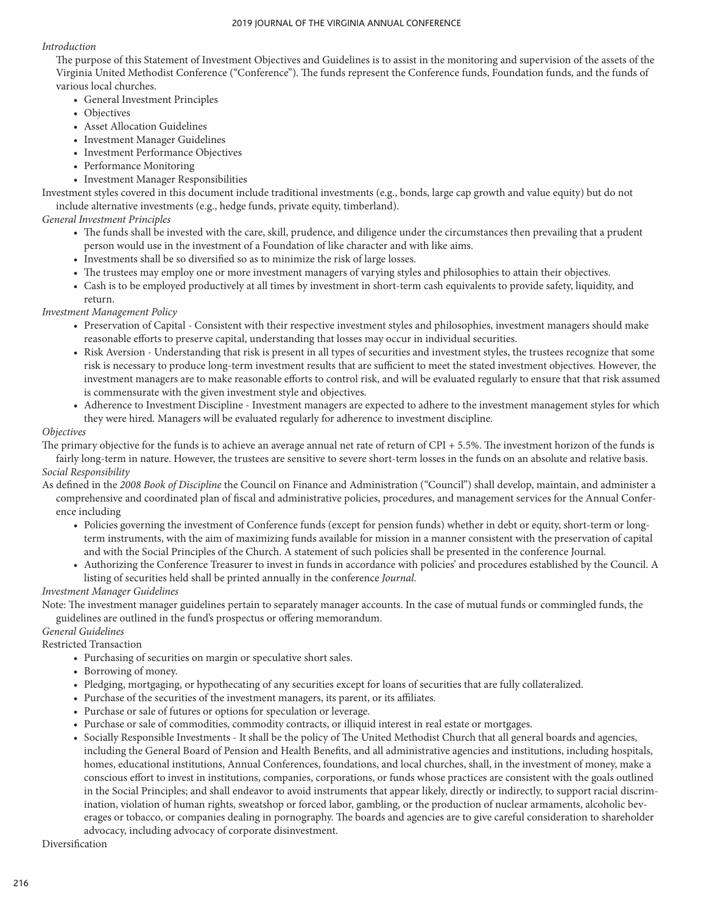## *Introduction*

The purpose of this Statement of Investment Objectives and Guidelines is to assist in the monitoring and supervision of the assets of the Virginia United Methodist Conference ("Conference"). The funds represent the Conference funds, Foundation funds, and the funds of various local churches.

- General Investment Principles
- Objectives
- Asset Allocation Guidelines
- Investment Manager Guidelines
- Investment Performance Objectives
- Performance Monitoring
- Investment Manager Responsibilities

Investment styles covered in this document include traditional investments (e.g., bonds, large cap growth and value equity) but do not include alternative investments (e.g., hedge funds, private equity, timberland).

## *General Investment Principles*

- The funds shall be invested with the care, skill, prudence, and diligence under the circumstances then prevailing that a prudent person would use in the investment of a Foundation of like character and with like aims.
- Investments shall be so diversified so as to minimize the risk of large losses.
- The trustees may employ one or more investment managers of varying styles and philosophies to attain their objectives.
- Cash is to be employed productively at all times by investment in short-term cash equivalents to provide safety, liquidity, and return.

## *Investment Management Policy*

- Preservation of Capital Consistent with their respective investment styles and philosophies, investment managers should make reasonable efforts to preserve capital, understanding that losses may occur in individual securities.
- Risk Aversion Understanding that risk is present in all types of securities and investment styles, the trustees recognize that some risk is necessary to produce long-term investment results that are sufficient to meet the stated investment objectives. However, the investment managers are to make reasonable efforts to control risk, and will be evaluated regularly to ensure that that risk assumed is commensurate with the given investment style and objectives.
- Adherence to Investment Discipline Investment managers are expected to adhere to the investment management styles for which they were hired. Managers will be evaluated regularly for adherence to investment discipline.

### *Objectives*

The primary objective for the funds is to achieve an average annual net rate of return of CPI + 5.5%. The investment horizon of the funds is fairly long-term in nature. However, the trustees are sensitive to severe short-term losses in the funds on an absolute and relative basis.

## *Social Responsibility*

As defined in the *2008 Book of Discipline* the Council on Finance and Administration ("Council") shall develop, maintain, and administer a comprehensive and coordinated plan of fiscal and administrative policies, procedures, and management services for the Annual Conference including

- Policies governing the investment of Conference funds (except for pension funds) whether in debt or equity, short-term or longterm instruments, with the aim of maximizing funds available for mission in a manner consistent with the preservation of capital and with the Social Principles of the Church. A statement of such policies shall be presented in the conference Journal.
- Authorizing the Conference Treasurer to invest in funds in accordance with policies' and procedures established by the Council. A listing of securities held shall be printed annually in the conference *Journal*.

## *Investment Manager Guidelines*

Note: The investment manager guidelines pertain to separately manager accounts. In the case of mutual funds or commingled funds, the guidelines are outlined in the fund's prospectus or offering memorandum.

### *General Guidelines*

Restricted Transaction

- Purchasing of securities on margin or speculative short sales.
- Borrowing of money.
- Pledging, mortgaging, or hypothecating of any securities except for loans of securities that are fully collateralized.
- Purchase of the securities of the investment managers, its parent, or its affiliates.
- Purchase or sale of futures or options for speculation or leverage.
- Purchase or sale of commodities, commodity contracts, or illiquid interest in real estate or mortgages.
- Socially Responsible Investments It shall be the policy of The United Methodist Church that all general boards and agencies, including the General Board of Pension and Health Benefits, and all administrative agencies and institutions, including hospitals, homes, educational institutions, Annual Conferences, foundations, and local churches, shall, in the investment of money, make a conscious effort to invest in institutions, companies, corporations, or funds whose practices are consistent with the goals outlined in the Social Principles; and shall endeavor to avoid instruments that appear likely, directly or indirectly, to support racial discrimination, violation of human rights, sweatshop or forced labor, gambling, or the production of nuclear armaments, alcoholic beverages or tobacco, or companies dealing in pornography. The boards and agencies are to give careful consideration to shareholder advocacy, including advocacy of corporate disinvestment.

Diversification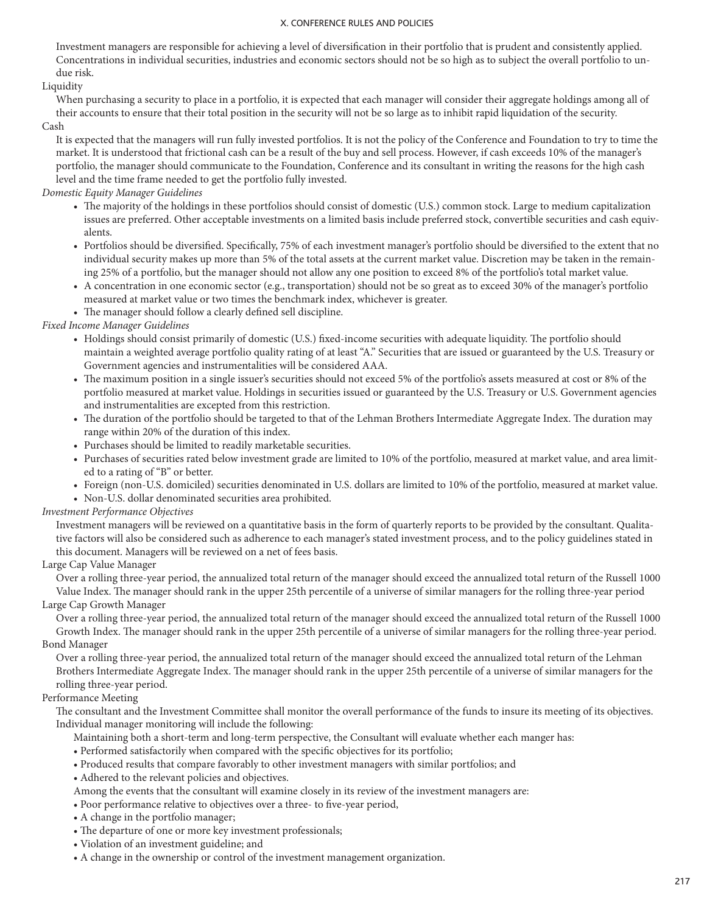Investment managers are responsible for achieving a level of diversification in their portfolio that is prudent and consistently applied. Concentrations in individual securities, industries and economic sectors should not be so high as to subject the overall portfolio to undue risk.

### Liquidity

When purchasing a security to place in a portfolio, it is expected that each manager will consider their aggregate holdings among all of their accounts to ensure that their total position in the security will not be so large as to inhibit rapid liquidation of the security. Cash

It is expected that the managers will run fully invested portfolios. It is not the policy of the Conference and Foundation to try to time the market. It is understood that frictional cash can be a result of the buy and sell process. However, if cash exceeds 10% of the manager's portfolio, the manager should communicate to the Foundation, Conference and its consultant in writing the reasons for the high cash level and the time frame needed to get the portfolio fully invested.

*Domestic Equity Manager Guidelines*

- The majority of the holdings in these portfolios should consist of domestic (U.S.) common stock. Large to medium capitalization issues are preferred. Other acceptable investments on a limited basis include preferred stock, convertible securities and cash equivalents.
- Portfolios should be diversified. Specifically, 75% of each investment manager's portfolio should be diversified to the extent that no individual security makes up more than 5% of the total assets at the current market value. Discretion may be taken in the remaining 25% of a portfolio, but the manager should not allow any one position to exceed 8% of the portfolio's total market value.
- A concentration in one economic sector (e.g., transportation) should not be so great as to exceed 30% of the manager's portfolio measured at market value or two times the benchmark index, whichever is greater.
- The manager should follow a clearly defined sell discipline.

*Fixed Income Manager Guidelines*

- Holdings should consist primarily of domestic (U.S.) fixed-income securities with adequate liquidity. The portfolio should maintain a weighted average portfolio quality rating of at least "A." Securities that are issued or guaranteed by the U.S. Treasury or Government agencies and instrumentalities will be considered AAA.
- The maximum position in a single issuer's securities should not exceed 5% of the portfolio's assets measured at cost or 8% of the portfolio measured at market value. Holdings in securities issued or guaranteed by the U.S. Treasury or U.S. Government agencies and instrumentalities are excepted from this restriction.
- The duration of the portfolio should be targeted to that of the Lehman Brothers Intermediate Aggregate Index. The duration may range within 20% of the duration of this index.
- Purchases should be limited to readily marketable securities.
- Purchases of securities rated below investment grade are limited to 10% of the portfolio, measured at market value, and area limited to a rating of "B" or better.
- Foreign (non-U.S. domiciled) securities denominated in U.S. dollars are limited to 10% of the portfolio, measured at market value.
- Non-U.S. dollar denominated securities area prohibited.

### *Investment Performance Objectives*

Investment managers will be reviewed on a quantitative basis in the form of quarterly reports to be provided by the consultant. Qualitative factors will also be considered such as adherence to each manager's stated investment process, and to the policy guidelines stated in this document. Managers will be reviewed on a net of fees basis.

## Large Cap Value Manager

Over a rolling three-year period, the annualized total return of the manager should exceed the annualized total return of the Russell 1000 Value Index. The manager should rank in the upper 25th percentile of a universe of similar managers for the rolling three-year period

### Large Cap Growth Manager

Over a rolling three-year period, the annualized total return of the manager should exceed the annualized total return of the Russell 1000 Growth Index. The manager should rank in the upper 25th percentile of a universe of similar managers for the rolling three-year period. Bond Manager

Over a rolling three-year period, the annualized total return of the manager should exceed the annualized total return of the Lehman Brothers Intermediate Aggregate Index. The manager should rank in the upper 25th percentile of a universe of similar managers for the rolling three-year period.

### Performance Meeting

The consultant and the Investment Committee shall monitor the overall performance of the funds to insure its meeting of its objectives. Individual manager monitoring will include the following:

- Maintaining both a short-term and long-term perspective, the Consultant will evaluate whether each manger has:
- Performed satisfactorily when compared with the specific objectives for its portfolio;
- Produced results that compare favorably to other investment managers with similar portfolios; and
- Adhered to the relevant policies and objectives.
- Among the events that the consultant will examine closely in its review of the investment managers are:
- Poor performance relative to objectives over a three- to five-year period,
- A change in the portfolio manager;
- The departure of one or more key investment professionals;
- Violation of an investment guideline; and
- A change in the ownership or control of the investment management organization.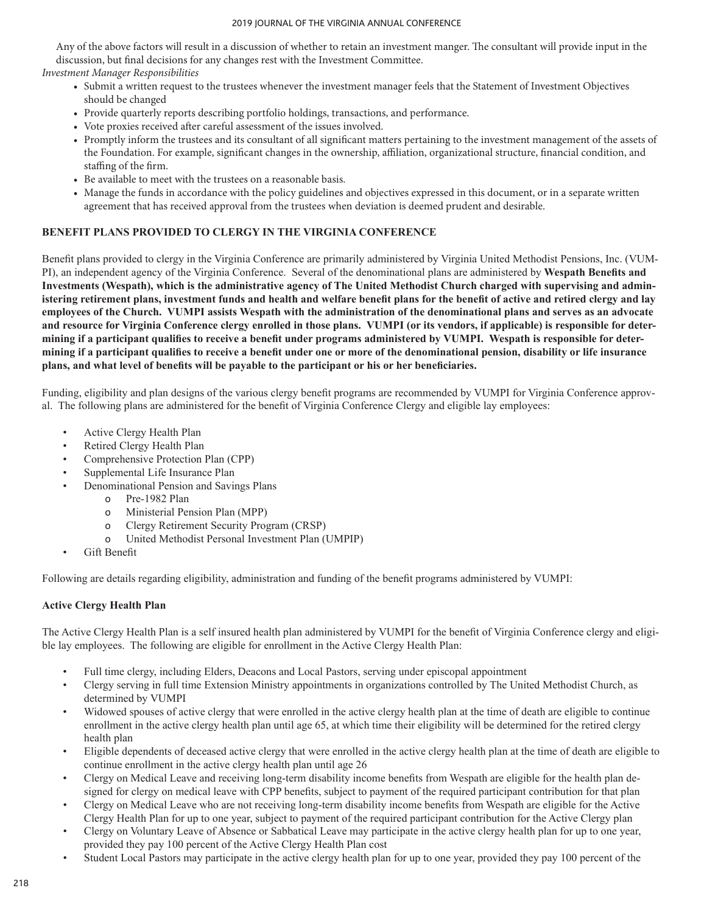Any of the above factors will result in a discussion of whether to retain an investment manger. The consultant will provide input in the discussion, but final decisions for any changes rest with the Investment Committee.

*Investment Manager Responsibilities*

- Submit a written request to the trustees whenever the investment manager feels that the Statement of Investment Objectives should be changed
- Provide quarterly reports describing portfolio holdings, transactions, and performance.
- Vote proxies received after careful assessment of the issues involved.
- Promptly inform the trustees and its consultant of all significant matters pertaining to the investment management of the assets of the Foundation. For example, significant changes in the ownership, affiliation, organizational structure, financial condition, and staffing of the firm.
- Be available to meet with the trustees on a reasonable basis.
- Manage the funds in accordance with the policy guidelines and objectives expressed in this document, or in a separate written agreement that has received approval from the trustees when deviation is deemed prudent and desirable.

### **BENEFIT PLANS PROVIDED TO CLERGY IN THE VIRGINIA CONFERENCE**

Benefit plans provided to clergy in the Virginia Conference are primarily administered by Virginia United Methodist Pensions, Inc. (VUM-PI), an independent agency of the Virginia Conference. Several of the denominational plans are administered by **Wespath Benefits and Investments (Wespath), which is the administrative agency of The United Methodist Church charged with supervising and administering retirement plans, investment funds and health and welfare benefit plans for the benefit of active and retired clergy and lay employees of the Church. VUMPI assists Wespath with the administration of the denominational plans and serves as an advocate and resource for Virginia Conference clergy enrolled in those plans. VUMPI (or its vendors, if applicable) is responsible for determining if a participant qualifies to receive a benefit under programs administered by VUMPI. Wespath is responsible for determining if a participant qualifies to receive a benefit under one or more of the denominational pension, disability or life insurance plans, and what level of benefits will be payable to the participant or his or her beneficiaries.**

Funding, eligibility and plan designs of the various clergy benefit programs are recommended by VUMPI for Virginia Conference approval. The following plans are administered for the benefit of Virginia Conference Clergy and eligible lay employees:

- Active Clergy Health Plan
- Retired Clergy Health Plan
- Comprehensive Protection Plan (CPP)
- Supplemental Life Insurance Plan
- Denominational Pension and Savings Plans
	- o Pre-1982 Plan
	- o Ministerial Pension Plan (MPP)
	- o Clergy Retirement Security Program (CRSP)
	- o United Methodist Personal Investment Plan (UMPIP)
- Gift Benefit

Following are details regarding eligibility, administration and funding of the benefit programs administered by VUMPI:

## **Active Clergy Health Plan**

The Active Clergy Health Plan is a self insured health plan administered by VUMPI for the benefit of Virginia Conference clergy and eligible lay employees. The following are eligible for enrollment in the Active Clergy Health Plan:

- Full time clergy, including Elders, Deacons and Local Pastors, serving under episcopal appointment
- Clergy serving in full time Extension Ministry appointments in organizations controlled by The United Methodist Church, as determined by VUMPI
- Widowed spouses of active clergy that were enrolled in the active clergy health plan at the time of death are eligible to continue enrollment in the active clergy health plan until age 65, at which time their eligibility will be determined for the retired clergy health plan
- Eligible dependents of deceased active clergy that were enrolled in the active clergy health plan at the time of death are eligible to continue enrollment in the active clergy health plan until age 26
- Clergy on Medical Leave and receiving long-term disability income benefits from Wespath are eligible for the health plan designed for clergy on medical leave with CPP benefits, subject to payment of the required participant contribution for that plan
- Clergy on Medical Leave who are not receiving long-term disability income benefits from Wespath are eligible for the Active Clergy Health Plan for up to one year, subject to payment of the required participant contribution for the Active Clergy plan
- Clergy on Voluntary Leave of Absence or Sabbatical Leave may participate in the active clergy health plan for up to one year, provided they pay 100 percent of the Active Clergy Health Plan cost
- Student Local Pastors may participate in the active clergy health plan for up to one year, provided they pay 100 percent of the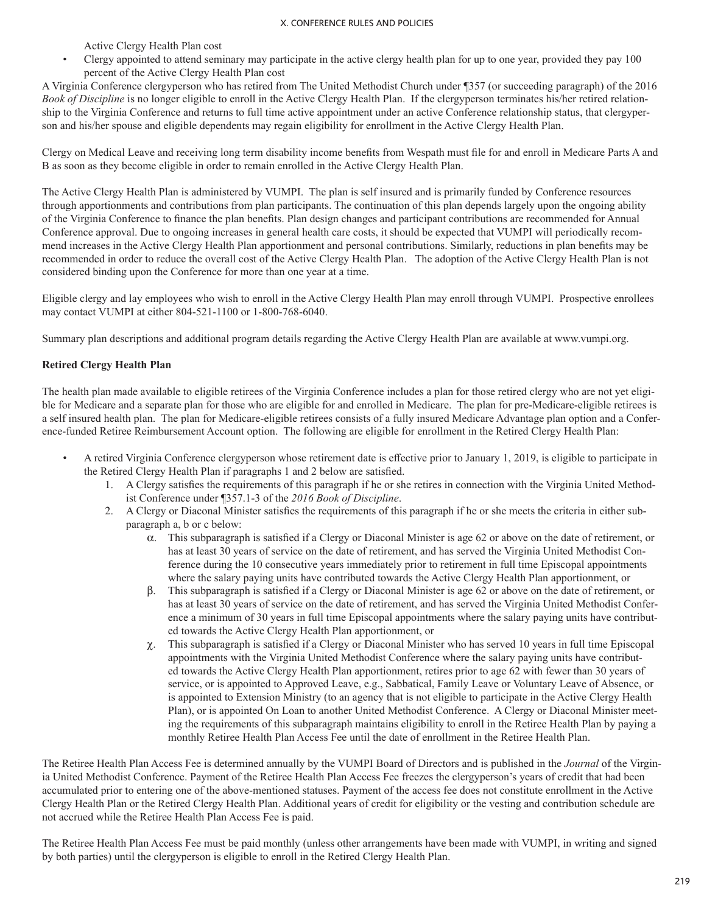Active Clergy Health Plan cost

• Clergy appointed to attend seminary may participate in the active clergy health plan for up to one year, provided they pay 100 percent of the Active Clergy Health Plan cost

A Virginia Conference clergyperson who has retired from The United Methodist Church under ¶357 (or succeeding paragraph) of the 2016 *Book of Discipline* is no longer eligible to enroll in the Active Clergy Health Plan. If the clergyperson terminates his/her retired relationship to the Virginia Conference and returns to full time active appointment under an active Conference relationship status, that clergyperson and his/her spouse and eligible dependents may regain eligibility for enrollment in the Active Clergy Health Plan.

Clergy on Medical Leave and receiving long term disability income benefits from Wespath must file for and enroll in Medicare Parts A and B as soon as they become eligible in order to remain enrolled in the Active Clergy Health Plan.

The Active Clergy Health Plan is administered by VUMPI. The plan is self insured and is primarily funded by Conference resources through apportionments and contributions from plan participants. The continuation of this plan depends largely upon the ongoing ability of the Virginia Conference to finance the plan benefits. Plan design changes and participant contributions are recommended for Annual Conference approval. Due to ongoing increases in general health care costs, it should be expected that VUMPI will periodically recommend increases in the Active Clergy Health Plan apportionment and personal contributions. Similarly, reductions in plan benefits may be recommended in order to reduce the overall cost of the Active Clergy Health Plan. The adoption of the Active Clergy Health Plan is not considered binding upon the Conference for more than one year at a time.

Eligible clergy and lay employees who wish to enroll in the Active Clergy Health Plan may enroll through VUMPI. Prospective enrollees may contact VUMPI at either 804-521-1100 or 1-800-768-6040.

Summary plan descriptions and additional program details regarding the Active Clergy Health Plan are available at www.vumpi.org.

## **Retired Clergy Health Plan**

The health plan made available to eligible retirees of the Virginia Conference includes a plan for those retired clergy who are not yet eligible for Medicare and a separate plan for those who are eligible for and enrolled in Medicare. The plan for pre-Medicare-eligible retirees is a self insured health plan. The plan for Medicare-eligible retirees consists of a fully insured Medicare Advantage plan option and a Conference-funded Retiree Reimbursement Account option. The following are eligible for enrollment in the Retired Clergy Health Plan:

- A retired Virginia Conference clergyperson whose retirement date is effective prior to January 1, 2019, is eligible to participate in the Retired Clergy Health Plan if paragraphs 1 and 2 below are satisfied.
	- 1. A Clergy satisfies the requirements of this paragraph if he or she retires in connection with the Virginia United Methodist Conference under ¶357.1-3 of the *2016 Book of Discipline*.
	- 2. A Clergy or Diaconal Minister satisfies the requirements of this paragraph if he or she meets the criteria in either subparagraph a, b or c below:
		- $\alpha$ . This subparagraph is satisfied if a Clergy or Diaconal Minister is age 62 or above on the date of retirement, or has at least 30 years of service on the date of retirement, and has served the Virginia United Methodist Conference during the 10 consecutive years immediately prior to retirement in full time Episcopal appointments where the salary paying units have contributed towards the Active Clergy Health Plan apportionment, or
		- b. This subparagraph is satisfied if a Clergy or Diaconal Minister is age 62 or above on the date of retirement, or has at least 30 years of service on the date of retirement, and has served the Virginia United Methodist Conference a minimum of 30 years in full time Episcopal appointments where the salary paying units have contributed towards the Active Clergy Health Plan apportionment, or
		- $\chi$ . This subparagraph is satisfied if a Clergy or Diaconal Minister who has served 10 years in full time Episcopal appointments with the Virginia United Methodist Conference where the salary paying units have contributed towards the Active Clergy Health Plan apportionment, retires prior to age 62 with fewer than 30 years of service, or is appointed to Approved Leave, e.g., Sabbatical, Family Leave or Voluntary Leave of Absence, or is appointed to Extension Ministry (to an agency that is not eligible to participate in the Active Clergy Health Plan), or is appointed On Loan to another United Methodist Conference. A Clergy or Diaconal Minister meeting the requirements of this subparagraph maintains eligibility to enroll in the Retiree Health Plan by paying a monthly Retiree Health Plan Access Fee until the date of enrollment in the Retiree Health Plan.

The Retiree Health Plan Access Fee is determined annually by the VUMPI Board of Directors and is published in the *Journal* of the Virginia United Methodist Conference. Payment of the Retiree Health Plan Access Fee freezes the clergyperson's years of credit that had been accumulated prior to entering one of the above-mentioned statuses. Payment of the access fee does not constitute enrollment in the Active Clergy Health Plan or the Retired Clergy Health Plan. Additional years of credit for eligibility or the vesting and contribution schedule are not accrued while the Retiree Health Plan Access Fee is paid.

The Retiree Health Plan Access Fee must be paid monthly (unless other arrangements have been made with VUMPI, in writing and signed by both parties) until the clergyperson is eligible to enroll in the Retired Clergy Health Plan.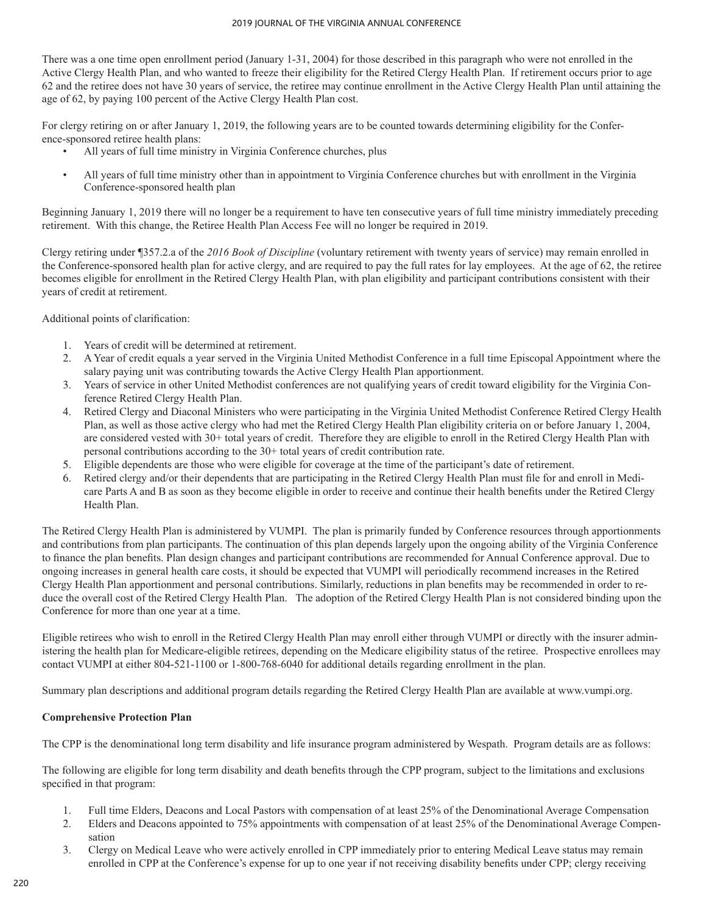There was a one time open enrollment period (January 1-31, 2004) for those described in this paragraph who were not enrolled in the Active Clergy Health Plan, and who wanted to freeze their eligibility for the Retired Clergy Health Plan. If retirement occurs prior to age 62 and the retiree does not have 30 years of service, the retiree may continue enrollment in the Active Clergy Health Plan until attaining the age of 62, by paying 100 percent of the Active Clergy Health Plan cost.

For clergy retiring on or after January 1, 2019, the following years are to be counted towards determining eligibility for the Conference-sponsored retiree health plans:

- All years of full time ministry in Virginia Conference churches, plus
- All years of full time ministry other than in appointment to Virginia Conference churches but with enrollment in the Virginia Conference-sponsored health plan

Beginning January 1, 2019 there will no longer be a requirement to have ten consecutive years of full time ministry immediately preceding retirement. With this change, the Retiree Health Plan Access Fee will no longer be required in 2019.

Clergy retiring under ¶357.2.a of the *2016 Book of Discipline* (voluntary retirement with twenty years of service) may remain enrolled in the Conference-sponsored health plan for active clergy, and are required to pay the full rates for lay employees. At the age of 62, the retiree becomes eligible for enrollment in the Retired Clergy Health Plan, with plan eligibility and participant contributions consistent with their years of credit at retirement.

Additional points of clarification:

- 1. Years of credit will be determined at retirement.
- 2. A Year of credit equals a year served in the Virginia United Methodist Conference in a full time Episcopal Appointment where the salary paying unit was contributing towards the Active Clergy Health Plan apportionment.
- 3. Years of service in other United Methodist conferences are not qualifying years of credit toward eligibility for the Virginia Conference Retired Clergy Health Plan.
- 4. Retired Clergy and Diaconal Ministers who were participating in the Virginia United Methodist Conference Retired Clergy Health Plan, as well as those active clergy who had met the Retired Clergy Health Plan eligibility criteria on or before January 1, 2004, are considered vested with 30+ total years of credit. Therefore they are eligible to enroll in the Retired Clergy Health Plan with personal contributions according to the 30+ total years of credit contribution rate.
- 5. Eligible dependents are those who were eligible for coverage at the time of the participant's date of retirement.
- 6. Retired clergy and/or their dependents that are participating in the Retired Clergy Health Plan must file for and enroll in Medicare Parts A and B as soon as they become eligible in order to receive and continue their health benefits under the Retired Clergy Health Plan.

The Retired Clergy Health Plan is administered by VUMPI. The plan is primarily funded by Conference resources through apportionments and contributions from plan participants. The continuation of this plan depends largely upon the ongoing ability of the Virginia Conference to finance the plan benefits. Plan design changes and participant contributions are recommended for Annual Conference approval. Due to ongoing increases in general health care costs, it should be expected that VUMPI will periodically recommend increases in the Retired Clergy Health Plan apportionment and personal contributions. Similarly, reductions in plan benefits may be recommended in order to reduce the overall cost of the Retired Clergy Health Plan. The adoption of the Retired Clergy Health Plan is not considered binding upon the Conference for more than one year at a time.

Eligible retirees who wish to enroll in the Retired Clergy Health Plan may enroll either through VUMPI or directly with the insurer administering the health plan for Medicare-eligible retirees, depending on the Medicare eligibility status of the retiree. Prospective enrollees may contact VUMPI at either 804-521-1100 or 1-800-768-6040 for additional details regarding enrollment in the plan.

Summary plan descriptions and additional program details regarding the Retired Clergy Health Plan are available at www.vumpi.org.

## **Comprehensive Protection Plan**

The CPP is the denominational long term disability and life insurance program administered by Wespath. Program details are as follows:

The following are eligible for long term disability and death benefits through the CPP program, subject to the limitations and exclusions specified in that program:

- 1. Full time Elders, Deacons and Local Pastors with compensation of at least 25% of the Denominational Average Compensation
- 2. Elders and Deacons appointed to 75% appointments with compensation of at least 25% of the Denominational Average Compensation
- 3. Clergy on Medical Leave who were actively enrolled in CPP immediately prior to entering Medical Leave status may remain enrolled in CPP at the Conference's expense for up to one year if not receiving disability benefits under CPP; clergy receiving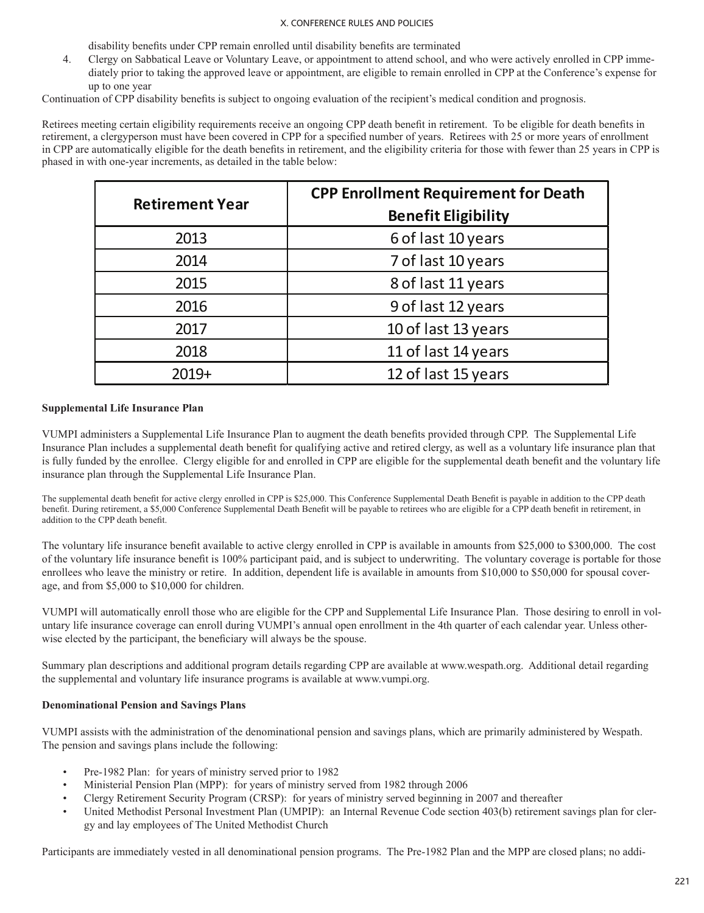disability benefits under CPP remain enrolled until disability benefits are terminated

4. Clergy on Sabbatical Leave or Voluntary Leave, or appointment to attend school, and who were actively enrolled in CPP immediately prior to taking the approved leave or appointment, are eligible to remain enrolled in CPP at the Conference's expense for up to one year

Continuation of CPP disability benefits is subject to ongoing evaluation of the recipient's medical condition and prognosis.

Retirees meeting certain eligibility requirements receive an ongoing CPP death benefit in retirement. To be eligible for death benefits in retirement, a clergyperson must have been covered in CPP for a specified number of years. Retirees with 25 or more years of enrollment in CPP are automatically eligible for the death benefits in retirement, and the eligibility criteria for those with fewer than 25 years in CPP is phased in with one-year increments, as detailed in the table below:

| <b>Retirement Year</b> | <b>CPP Enrollment Requirement for Death</b><br><b>Benefit Eligibility</b> |
|------------------------|---------------------------------------------------------------------------|
| 2013                   | 6 of last 10 years                                                        |
| 2014                   | 7 of last 10 years                                                        |
| 2015                   | 8 of last 11 years                                                        |
| 2016                   | 9 of last 12 years                                                        |
| 2017                   | 10 of last 13 years                                                       |
| 2018                   | 11 of last 14 years                                                       |
| $2019+$                | 12 of last 15 years                                                       |

### **Supplemental Life Insurance Plan**

VUMPI administers a Supplemental Life Insurance Plan to augment the death benefits provided through CPP. The Supplemental Life Insurance Plan includes a supplemental death benefit for qualifying active and retired clergy, as well as a voluntary life insurance plan that is fully funded by the enrollee. Clergy eligible for and enrolled in CPP are eligible for the supplemental death benefit and the voluntary life insurance plan through the Supplemental Life Insurance Plan.

The supplemental death benefit for active clergy enrolled in CPP is \$25,000. This Conference Supplemental Death Benefit is payable in addition to the CPP death benefit. During retirement, a \$5,000 Conference Supplemental Death Benefit will be payable to retirees who are eligible for a CPP death benefit in retirement, in addition to the CPP death benefit.

The voluntary life insurance benefit available to active clergy enrolled in CPP is available in amounts from \$25,000 to \$300,000. The cost of the voluntary life insurance benefit is 100% participant paid, and is subject to underwriting. The voluntary coverage is portable for those enrollees who leave the ministry or retire. In addition, dependent life is available in amounts from \$10,000 to \$50,000 for spousal coverage, and from \$5,000 to \$10,000 for children.

VUMPI will automatically enroll those who are eligible for the CPP and Supplemental Life Insurance Plan. Those desiring to enroll in voluntary life insurance coverage can enroll during VUMPI's annual open enrollment in the 4th quarter of each calendar year. Unless otherwise elected by the participant, the beneficiary will always be the spouse.

Summary plan descriptions and additional program details regarding CPP are available at www.wespath.org. Additional detail regarding the supplemental and voluntary life insurance programs is available at www.vumpi.org.

### **Denominational Pension and Savings Plans**

VUMPI assists with the administration of the denominational pension and savings plans, which are primarily administered by Wespath. The pension and savings plans include the following:

- Pre-1982 Plan: for years of ministry served prior to 1982
- Ministerial Pension Plan (MPP): for years of ministry served from 1982 through 2006
- Clergy Retirement Security Program (CRSP): for years of ministry served beginning in 2007 and thereafter
- United Methodist Personal Investment Plan (UMPIP): an Internal Revenue Code section 403(b) retirement savings plan for clergy and lay employees of The United Methodist Church

Participants are immediately vested in all denominational pension programs. The Pre-1982 Plan and the MPP are closed plans; no addi-